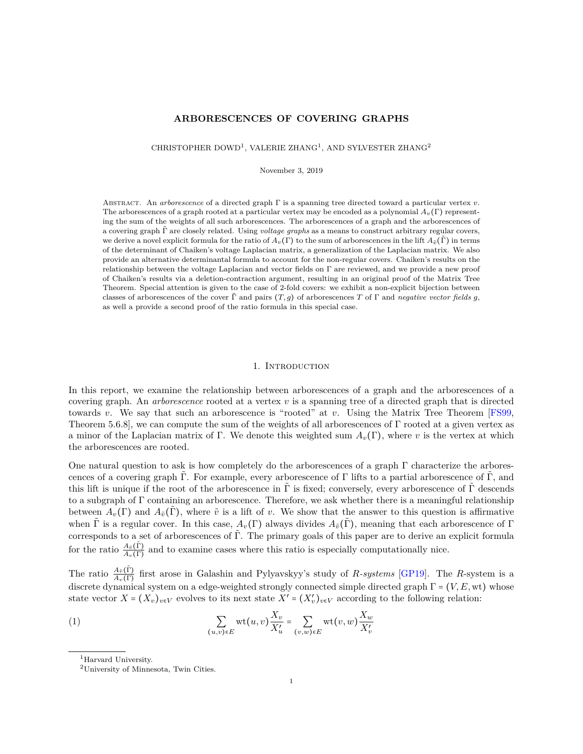## **ARBORESCENCES OF COVERING GRAPHS**

CHRISTOPHER DOWD<sup>1</sup>, VALERIE ZHANG<sup>1</sup>, AND SYLVESTER ZHANG<sup>2</sup>

November 3, 2019

Abstract. An *arborescence* of a directed graph Γ is a spanning tree directed toward a particular vertex *v*. The arborescences of a graph rooted at a particular vertex may be encoded as a polynomial *Av*(Γ) representing the sum of the weights of all such arborescences. The arborescences of a graph and the arborescences of a covering graph Γ˜ are closely related. Using *voltage graphs* as a means to construct arbitrary regular covers, we derive a novel explicit formula for the ratio of  $A_v(\Gamma)$  to the sum of arborescences in the lift  $A_{\tilde{v}}(\tilde{\Gamma})$  in terms of the determinant of Chaiken's voltage Laplacian matrix, a generalization of the Laplacian matrix. We also provide an alternative determinantal formula to account for the non-regular covers. Chaiken's results on the relationship between the voltage Laplacian and vector fields on Γ are reviewed, and we provide a new proof of Chaiken's results via a deletion-contraction argument, resulting in an original proof of the Matrix Tree Theorem. Special attention is given to the case of 2-fold covers: we exhibit a non-explicit bijection between classes of arborescences of the cover  $\tilde{\Gamma}$  and pairs  $(T, g)$  of arborescences *T* of  $\Gamma$  and *negative vector fields g*, as well a provide a second proof of the ratio formula in this special case.

### 1. Introduction

In this report, we examine the relationship between arborescences of a graph and the arborescences of a covering graph. An *arborescence* rooted at a vertex *v* is a spanning tree of a directed graph that is directed towards *v*. We say that such an arborescence is "rooted" at *v*. Using the Matrix Tree Theorem [\[FS99](#page-23-0), Theorem 5.6.8], we can compute the sum of the weights of all arborescences of  $\Gamma$  rooted at a given vertex as a minor of the Laplacian matrix of Γ. We denote this weighted sum  $A_v(\Gamma)$ , where *v* is the vertex at which the arborescences are rooted.

One natural question to ask is how completely do the arborescences of a graph Γ characterize the arborescences of a covering graph Γ. For example, every arborescence of Γ lifts to a partial arborescence of Γ, and this lift is unique if the root of the arborescence in  $\Gamma$  is fixed; conversely, every arborescence of  $\Gamma$  descends to a subgraph of Γ containing an arborescence. Therefore, we ask whether there is a meaningful relationship between  $A_v(\Gamma)$  and  $A_{\tilde{v}}(\tilde{\Gamma})$ , where  $\tilde{v}$  is a lift of *v*. We show that the answer to this question is affirmative when  $\tilde{\Gamma}$  is a regular cover. In this case,  $A_v(\Gamma)$  always divides  $A_{\tilde{v}}(\tilde{\Gamma})$ , meaning that each arborescence of  $\Gamma$ corresponds to a set of arborescences of  $\tilde{\Gamma}$ . The primary goals of this paper are to derive an explicit formula for the ratio  $\frac{A_{\tilde{v}}(\tilde{\Gamma})}{A_{v}(\Gamma)}$  and to examine cases where this ratio is especially computationally nice.

The ratio  $\frac{A_{\tilde{v}}(\tilde{\Gamma})}{A_{v}(\Gamma)}$  first arose in Galashin and Pylyavskyy's study of *R-systems* [\[GP19\]](#page-23-1). The *R*-system is a discrete dynamical system on a edge-weighted strongly connected simple directed graph <sup>Γ</sup> <sup>=</sup> (*V, E,* wt) whose state vector  $X = (X_v)_{v \in V}$  evolves to its next state  $X' = (X'_v)_{v \in V}$  according to the following relation:

<span id="page-0-0"></span>(1) 
$$
\sum_{(u,v)\in E} \text{wt}(u,v) \frac{X_v}{X_u'} = \sum_{(v,w)\in E} \text{wt}(v,w) \frac{X_w}{X_v'}
$$

<sup>&</sup>lt;sup>1</sup>Harvard University.

<sup>2</sup>University of Minnesota, Twin Cities.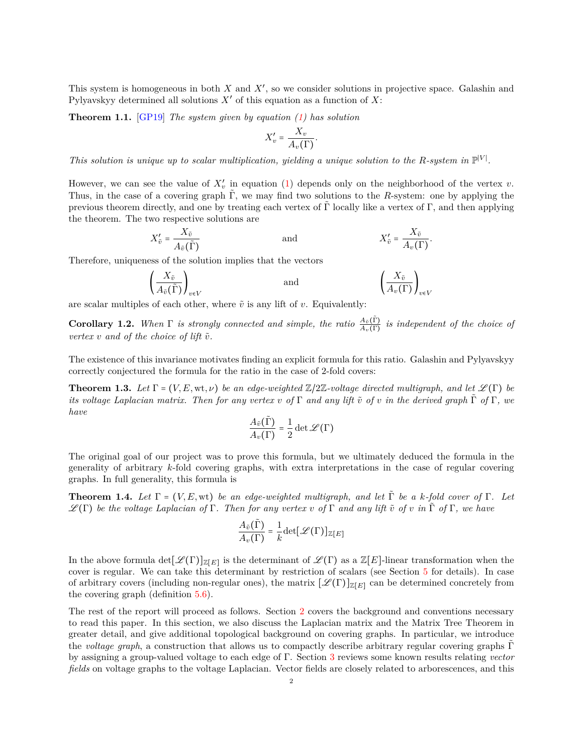This system is homogeneous in both *X* and *X*′ , so we consider solutions in projective space. Galashin and Pylyavskyy determined all solutions *X*′ of this equation as a function of *X*:

**Theorem 1.1.** [\[GP19\]](#page-23-1) *The system given by equation ([1\)](#page-0-0) has solution*

$$
X'_v = \frac{X_v}{A_v(\Gamma)}.
$$

*This solution is unique up to scalar multiplication, yielding a unique solution to the R-system in*  $\mathbb{P}^{|V|}$ .

However, we can see the value of  $X'_{v}$  in equation [\(1](#page-0-0)) depends only on the neighborhood of the vertex *v*. Thus, in the case of a covering graph  $\tilde{\Gamma}$ , we may find two solutions to the *R*-system: one by applying the previous theorem directly, and one by treating each vertex of  $\Gamma$  locally like a vertex of  $\Gamma$ , and then applying the theorem. The two respective solutions are

$$
X'_{\tilde{v}} = \frac{X_{\tilde{v}}}{A_{\tilde{v}}(\tilde{\Gamma})} \qquad \text{and} \qquad X'_{\tilde{v}} = \frac{X_{\tilde{v}}}{A_{v}(\Gamma)}.
$$

Therefore, uniqueness of the solution implies that the vectors

$$
\left(\frac{X_{\tilde{v}}}{A_{\tilde{v}}(\tilde{\Gamma})}\right)_{v\in V} \qquad \text{and} \qquad \left(\frac{X_{\tilde{v}}}{A_{v}(\Gamma)}\right)_{v\in V}
$$

are scalar multiples of each other, where  $\tilde{v}$  is any lift of  $v$ . Equivalently:

<span id="page-1-1"></span>**Corollary 1.2.** *When*  $\Gamma$  *is strongly connected and simple, the ratio*  $\frac{A_{\tilde{v}}(\tilde{\Gamma})}{A_{v}(\Gamma)}$  *is independent of the choice of vertex*  $v$  *and of the choice of lift*  $\tilde{v}$ *.* 

The existence of this invariance motivates finding an explicit formula for this ratio. Galashin and Pylyavskyy correctly conjectured the formula for the ratio in the case of 2-fold covers:

<span id="page-1-2"></span>**Theorem 1.3.** *Let*  $\Gamma = (V, E, wt, \nu)$  *be an edge-weighted*  $\mathbb{Z}/2\mathbb{Z}$ *-voltage directed multigraph, and let*  $\mathscr{L}(\Gamma)$  *be its voltage Laplacian matrix. Then for any vertex v of* Γ *and any lift v*˜ *of v in the derived graph* Γ˜ *of* Γ*, we have*

$$
\frac{A_{\tilde{v}}(\tilde{\Gamma})}{A_{v}(\Gamma)} = \frac{1}{2} \det \mathscr{L}(\Gamma)
$$

The original goal of our project was to prove this formula, but we ultimately deduced the formula in the generality of arbitrary *k*-fold covering graphs, with extra interpretations in the case of regular covering graphs. In full generality, this formula is

<span id="page-1-0"></span>**Theorem 1.4.** *Let*  $\Gamma = (V, E, \text{wt})$  *be an edge-weighted multigraph, and let*  $\tilde{\Gamma}$  *be a k*-fold cover of  $\Gamma$ *. Let L*(Γ) *be the voltage Laplacian of* Γ. Then for any vertex *v* of Γ and any lift  $\tilde{v}$  of *v* in  $\tilde{\Gamma}$  of Γ, we have

$$
\frac{A_{\tilde{v}}(\tilde{\Gamma})}{A_{v}(\Gamma)} = \frac{1}{k} \text{det}[\mathcal{L}(\Gamma)]_{\mathbb{Z}[E]}
$$

In the above formula  $\det[\mathcal{L}(\Gamma)]_{\mathbb{Z}[E]}$  is the determinant of  $\mathcal{L}(\Gamma)$  as a  $\mathbb{Z}[E]$ -linear transformation when the cover is regular. We can take this determinant by restriction of scalars (see Section [5](#page-14-0) for details). In case of arbitrary covers (including non-regular ones), the matrix  $[\mathscr{L}(\Gamma)]_{\mathbb{Z}[E]}$  can be determined concretely from the covering graph (definition [5.6](#page-17-0)).

The rest of the report will proceed as follows. Section [2](#page-2-0) covers the background and conventions necessary to read this paper. In this section, we also discuss the Laplacian matrix and the Matrix Tree Theorem in greater detail, and give additional topological background on covering graphs. In particular, we introduce the *voltage graph*, a construction that allows us to compactly describe arbitrary regular covering graphs Γ˜ by assigning a group-valued voltage to each edge of Γ. Section [3](#page-6-0) reviews some known results relating *vector fields* on voltage graphs to the voltage Laplacian. Vector fields are closely related to arborescences, and this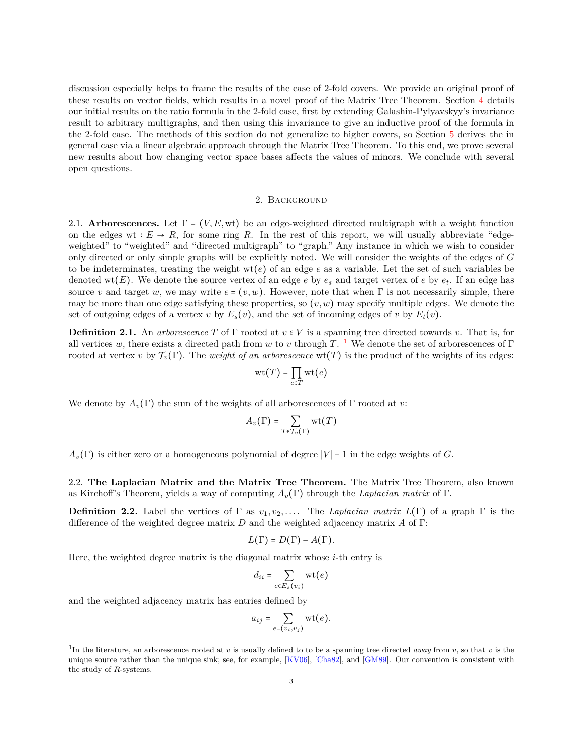discussion especially helps to frame the results of the case of 2-fold covers. We provide an original proof of these results on vector fields, which results in a novel proof of the Matrix Tree Theorem. Section [4](#page-10-0) details our initial results on the ratio formula in the 2-fold case, first by extending Galashin-Pylyavskyy's invariance result to arbitrary multigraphs, and then using this invariance to give an inductive proof of the formula in the 2-fold case. The methods of this section do not generalize to higher covers, so Section [5](#page-14-0) derives the in general case via a linear algebraic approach through the Matrix Tree Theorem. To this end, we prove several new results about how changing vector space bases affects the values of minors. We conclude with several open questions.

# 2. Background

<span id="page-2-0"></span>2.1. **Arborescences.** Let  $\Gamma = (V, E, \text{wt})$  be an edge-weighted directed multigraph with a weight function on the edges wt :  $E \to R$ , for some ring R. In the rest of this report, we will usually abbreviate "edgeweighted" to "weighted" and "directed multigraph" to "graph." Any instance in which we wish to consider only directed or only simple graphs will be explicitly noted. We will consider the weights of the edges of *G* to be indeterminates, treating the weight wt(*e*) of an edge *<sup>e</sup>* as a variable. Let the set of such variables be denoted wt(E). We denote the source vertex of an edge  $e$  by  $e_s$  and target vertex of  $e$  by  $e_t$ . If an edge has source *v* and target *w*, we may write  $e = (v, w)$ . However, note that when Γ is not necessarily simple, there may be more than one edge satisfying these properties, so (*v, w*) may specify multiple edges. We denote the set of outgoing edges of a vertex *v* by  $E_s(v)$ , and the set of incoming edges of *v* by  $E_t(v)$ .

**Definition 2.1.** An *arborescence*  $T$  of  $\Gamma$  rooted at  $v \in V$  is a spanning tree directed towards  $v$ . That is, for all vertices *w*, there exists a directed path from *w* to *v* through *T*. <sup>1</sup> We denote the set of arborescences of Γ rooted at vertex *v* by  $\mathcal{T}_v(\Gamma)$ . The *weight of an arborescence* wt(*T*) is the product of the weights of its edges:

$$
\mathrm{wt}(T)=\prod_{e\in T}\mathrm{wt}(e)
$$

We denote by  $A_v(\Gamma)$  the sum of the weights of all arborescences of  $\Gamma$  rooted at *v*:

$$
A_v(\Gamma) = \sum_{T \in \mathcal{T}_v(\Gamma)} \mathrm{wt}(T)
$$

 $A_v(\Gamma)$  is either zero or a homogeneous polynomial of degree  $|V|$  – 1 in the edge weights of *G*.

2.2. **The Laplacian Matrix and the Matrix Tree Theorem.** The Matrix Tree Theorem, also known as Kirchoff's Theorem, yields a way of computing *<sup>A</sup>v*(Γ) through the *Laplacian matrix* of <sup>Γ</sup>.

<span id="page-2-1"></span>**Definition 2.2.** Label the vertices of Γ as  $v_1, v_2, \ldots$ . The *Laplacian matrix*  $L(\Gamma)$  of a graph Γ is the difference of the weighted degree matrix *D* and the weighted adjacency matrix *A* of Γ:

$$
L(\Gamma) = D(\Gamma) - A(\Gamma).
$$

Here, the weighted degree matrix is the diagonal matrix whose *i*-th entry is

$$
d_{ii} = \sum_{e \in E_s(v_i)} \mathrm{wt}(e)
$$

and the weighted adjacency matrix has entries defined by

$$
a_{ij} = \sum_{e=(v_i,v_j)} \mathrm{wt}(e).
$$

<sup>&</sup>lt;sup>1</sup>In the literature, an arborescence rooted at *v* is usually defined to to be a spanning tree directed *away* from *v*, so that *v* is the unique source rather than the unique sink; see, for example, [[KV06\]](#page-23-2), [\[Cha82\]](#page-23-3), and [\[GM89](#page-23-4)]. Our convention is consistent with the study of *R*-systems.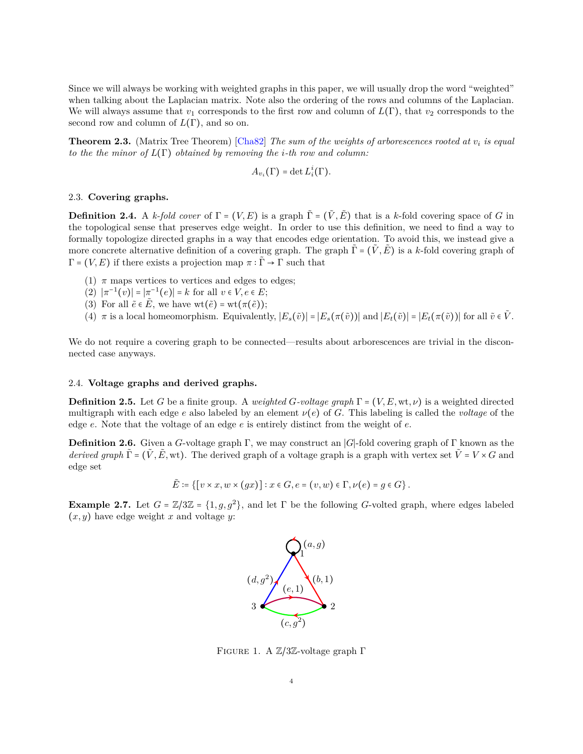Since we will always be working with weighted graphs in this paper, we will usually drop the word "weighted" when talking about the Laplacian matrix. Note also the ordering of the rows and columns of the Laplacian. We will always assume that  $v_1$  corresponds to the first row and column of  $L(\Gamma)$ , that  $v_2$  corresponds to the second row and column of *<sup>L</sup>*(Γ), and so on.

<span id="page-3-1"></span>**Theorem 2.3.** (Matrix Tree Theorem) [\[Cha82](#page-23-3)] *The sum of the weights of arborescences rooted at v<sup>i</sup> is equal to the the minor of <sup>L</sup>*(Γ) *obtained by removing the <sup>i</sup>-th row and column:*

$$
A_{v_i}(\Gamma) = \det L_i^i(\Gamma).
$$

## 2.3. **Covering graphs.**

**Definition 2.4.** A *k-fold cover* of  $\Gamma = (V, E)$  is a graph  $\tilde{\Gamma} = (\tilde{V}, \tilde{E})$  that is a *k*-fold covering space of *G* in the topological sense that preserves edge weight. In order to use this definition, we need to find a way to formally topologize directed graphs in a way that encodes edge orientation. To avoid this, we instead give a more concrete alternative definition of a covering graph. The graph  $\tilde{\Gamma} = (\tilde{V}, \tilde{E})$  is a *k*-fold covering graph of  $\Gamma = (V, E)$  if there exists a projection map  $\pi : \tilde{\Gamma} \to \Gamma$  such that

- (1)  $\pi$  maps vertices to vertices and edges to edges;
- (2)  $|\pi^{-1}(v)| = |\pi^{-1}(e)| = k$  for all  $v \in V, e \in E$ ;<br>(2) **Γ**  $\lim_{z \to 0} \tilde{F}$   $\lim_{z \to 0} \frac{f(z)}{z}$  ((2)
- (3) For all  $\tilde{e} \in \tilde{E}$ , we have wt( $\tilde{e}$ ) = wt( $\pi(\tilde{e})$ );
- (4)  $\pi$  is a local homeomorphism. Equivalently,  $|E_s(\tilde{v})| = |E_s(\pi(\tilde{v}))|$  and  $|E_t(\tilde{v})| = |E_t(\pi(\tilde{v}))|$  for all  $\tilde{v} \in \tilde{V}$ .

We do not require a covering graph to be connected—results about arborescences are trivial in the disconnected case anyways.

### 2.4. **Voltage graphs and derived graphs.**

**Definition 2.5.** Let *G* be a finite group. A *weighted G-voltage graph*  $\Gamma = (V, E, wt, \nu)$  is a weighted directed multigraph with each edge  $e$  also labeled by an element  $\nu(e)$  of *G*. This labeling is called the *voltage* of the edge *e*. Note that the voltage of an edge *e* is entirely distinct from the weight of *e*.

**Definition 2.6.** Given a *<sup>G</sup>*-voltage graph <sup>Γ</sup>, we may construct an <sup>∣</sup>*G*∣-fold covering graph of <sup>Γ</sup> known as the *derived graph*  $\tilde{\Gamma} = (\tilde{V}, \tilde{E}, \text{wt})$ . The derived graph of a voltage graph is a graph with vertex set  $\tilde{V} = V \times G$  and edge set

$$
\tilde{E} \coloneqq \{ [v \times x, w \times (gx)] : x \in G, e = (v, w) \in \Gamma, \nu(e) = g \in G \}.
$$

<span id="page-3-0"></span>**Example 2.7.** Let  $G = \mathbb{Z}/3\mathbb{Z} = \{1, g, g^2\}$ , and let  $\Gamma$  be the following *G*-volted graph, where edges labeled  $(g, g)$  have administrative and valuations with (*x, y*) have edge weight *<sup>x</sup>* and voltage *<sup>y</sup>*:



FIGURE 1. A  $\mathbb{Z}/3\mathbb{Z}$ -voltage graph Γ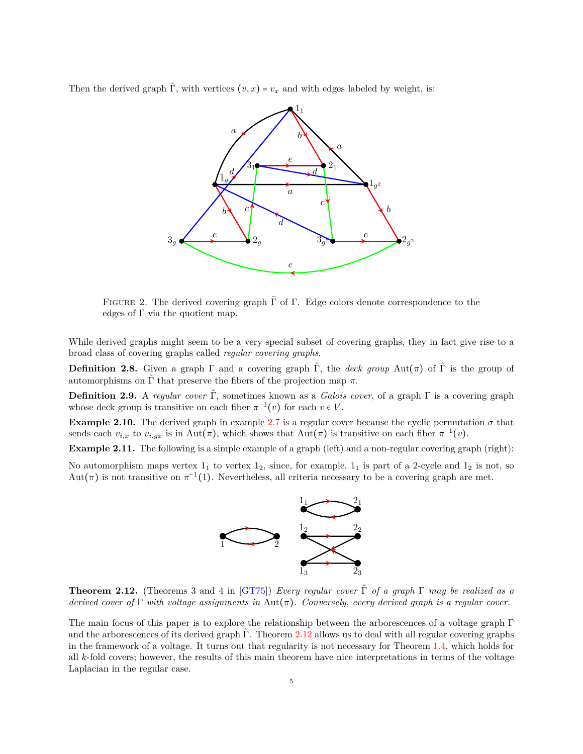Then the derived graph  $\tilde{\Gamma}$ , with vertices  $(v, x) = v_x$  and with edges labeled by weight, is:



FIGURE 2. The derived covering graph  $\tilde{\Gamma}$  of  $\Gamma$ . Edge colors denote correspondence to the edges of  $\Gamma$  via the quotient map.

While derived graphs might seem to be a very special subset of covering graphs, they in fact give rise to a broad class of covering graphs called *regular covering graphs*.

**Definition 2.8.** Given a graph Γ and a covering graph Γ, the *deck group* Aut( $\pi$ ) of Γ is the group of automorphisms on  $\tilde{\Gamma}$  that preserve the fibers of the projection map *π*.

**Definition 2.9.** A *regular cover* Γ<sup>\*</sup>, sometimes known as a *Galois cover*, of a graph Γ is a covering graph whose deck group is transitive on each fiber  $\pi^{-1}(v)$  for each  $v \in V$ .

**Example 2.10.** The derived graph in example [2.7](#page-3-0) is a regular cover because the cyclic permutation  $\sigma$  that sends each  $v_{i,x}$  to  $v_{i,gx}$  is in Aut( $\pi$ ), which shows that Aut( $\pi$ ) is transitive on each fiber  $\pi^{-1}(v)$ .

**Example 2.11.** The following is a simple example of a graph (left) and a non-regular covering graph (right):

No automorphism maps vertex  $1_1$  to vertex  $1_2$ , since, for example,  $1_1$  is part of a 2-cycle and  $1_2$  is not, so Aut $(\pi)$  is not transitive on  $\pi^{-1}(1)$ . Nevertheless, all criteria necessary to be a covering graph are met.



<span id="page-4-0"></span>**Theorem 2.12.** (Theorems 3 and 4 in [[GT75\]](#page-23-5)) *Every regular cover* Γ *of a graph* Γ *may be realized as a derived cover of* <sup>Γ</sup> *with voltage assignments in* Aut(*π*)*. Conversely, every derived graph is a regular cover.*

The main focus of this paper is to explore the relationship between the arborescences of a voltage graph Γ and the arborescences of its derived graph  $\Gamma$ . Theorem [2.12](#page-4-0) allows us to deal with all regular covering graphs in the framework of a voltage. It turns out that regularity is not necessary for Theorem [1.4,](#page-1-0) which holds for all *k*-fold covers; however, the results of this main theorem have nice interpretations in terms of the voltage Laplacian in the regular case.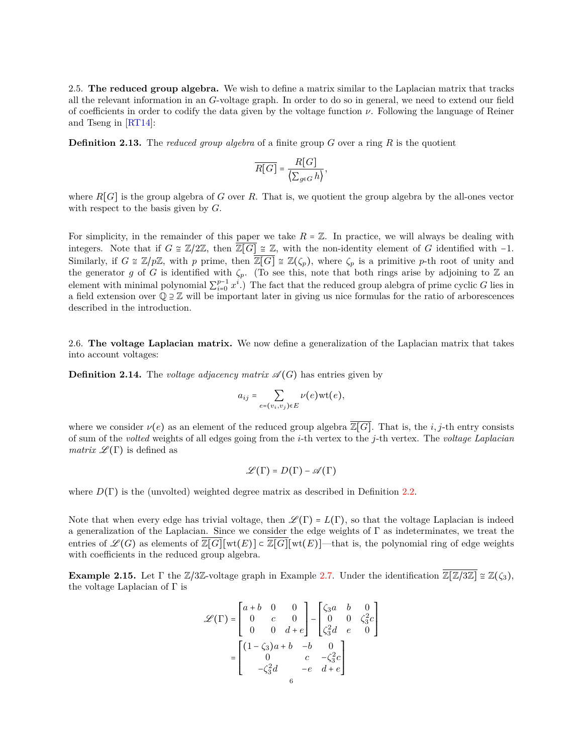2.5. **The reduced group algebra.** We wish to define a matrix similar to the Laplacian matrix that tracks all the relevant information in an *G*-voltage graph. In order to do so in general, we need to extend our field of coefficients in order to codify the data given by the voltage function *ν*. Following the language of Reiner and Tseng in [\[RT14\]](#page-23-6):

**Definition 2.13.** The *reduced group algebra* of a finite group *G* over a ring *R* is the quotient

$$
\overline{R[G]} = \frac{R[G]}{\langle \sum_{g \in G} h \rangle},
$$

where  $R[G]$  is the group algebra of *G* over *R*. That is, we quotient the group algebra by the all-ones vector with respect to the basis given by *G*.

For simplicity, in the remainder of this paper we take  $R = \mathbb{Z}$ . In practice, we will always be dealing with integers. Note that if  $G \cong \mathbb{Z}/2\mathbb{Z}$ , then  $\overline{\mathbb{Z}[G]} \cong \mathbb{Z}$ , with the non-identity element of *G* identified with −1. Similarly, if  $G \cong \mathbb{Z}/p\mathbb{Z}$ , with *p* prime, then  $\overline{\mathbb{Z}[G]} \cong \mathbb{Z}(\zeta_p)$ , where  $\zeta_p$  is a primitive *p*-th root of unity and the generator *g* of *G* is identified with  $\zeta_p$ . (To see this, note that both rings arise by adjoining to Z an element with minimal polynomial  $\sum_{i=0}^{p-1} x^i$ .) The fact that the reduced group alebgra of prime cyclic *G* lies in a field extension over <sup>Q</sup> <sup>⊇</sup> <sup>Z</sup> will be important later in giving us nice formulas for the ratio of arborescences described in the introduction.

2.6. **The voltage Laplacian matrix.** We now define a generalization of the Laplacian matrix that takes into account voltages:

**Definition 2.14.** The *voltage adjacency matrix*  $\mathscr{A}(G)$  has entries given by

$$
a_{ij} = \sum_{e=(v_i,v_j)\in E} \nu(e) \text{wt}(e),
$$

where we consider  $\nu(e)$  as an element of the reduced group algebra  $\overline{\mathbb{Z}[G]}$ . That is, the *i*, *j*-th entry consists of sum of the *volted* weights of all edges going from the *i*-th vertex to the *j*-th vertex. The *voltage Laplacian matrix*  $\mathscr{L}(\Gamma)$  is defined as

$$
\mathscr{L}(\Gamma) = D(\Gamma) - \mathscr{A}(\Gamma)
$$

where  $D(\Gamma)$  is the (unvolted) weighted degree matrix as described in Definition [2.2](#page-2-1).

Note that when every edge has trivial voltage, then  $\mathscr{L}(\Gamma) = L(\Gamma)$ , so that the voltage Laplacian is indeed a generalization of the Laplacian. Since we consider the edge weights of  $\Gamma$  as indeterminates, we treat the entries of  $\mathcal{L}(G)$  as elements of  $\mathbb{Z}[G][wt(E)] \subset \mathbb{Z}[G][wt(E)]$ —that is, the polynomial ring of edge weights with coefficients in the reduced group algebra.

<span id="page-5-0"></span>**Example 2.15.** Let  $\Gamma$  the  $\mathbb{Z}/3\mathbb{Z}$ -voltage graph in Example [2.7.](#page-3-0) Under the identification  $\overline{\mathbb{Z}[\mathbb{Z}/3\mathbb{Z}]} \cong \mathbb{Z}(\zeta_3)$ , the voltage Laplacian of Γ is

$$
\mathcal{L}(\Gamma) = \begin{bmatrix} a+b & 0 & 0 \\ 0 & c & 0 \\ 0 & 0 & d+e \end{bmatrix} - \begin{bmatrix} \zeta_3 a & b & 0 \\ 0 & 0 & \zeta_3^2 c \\ \zeta_3^2 d & e & 0 \end{bmatrix}
$$

$$
= \begin{bmatrix} (1-\zeta_3)a+b & -b & 0 \\ 0 & c & -\zeta_3^2 c \\ -\zeta_3^2 d & -e & d+e \end{bmatrix}
$$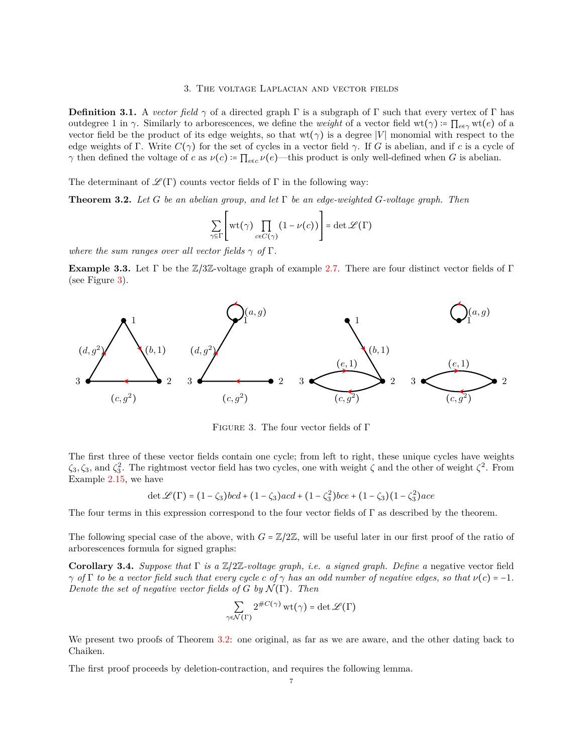## 3. The voltage Laplacian and vector fields

<span id="page-6-0"></span>**Definition 3.1.** A *vector field*  $\gamma$  of a directed graph  $\Gamma$  is a subgraph of  $\Gamma$  such that every vertex of  $\Gamma$  has outdegree 1 in *γ*. Similarly to arborescences, we define the *weight* of a vector field  $\text{wt}(\gamma) = \prod_{e \in \gamma} \text{wt}(e)$  of a vector field be the product of its edge weights, so that  $wt(\gamma)$  is a degree |*V*| monomial with respect to the edge weights of Γ. Write  $C(\gamma)$  for the set of cycles in a vector field  $\gamma$ . If *G* is abelian, and if *c* is a cycle of *γ* then defined the voltage of *c* as  $ν(c) := \prod_{e \in c} ν(e)$ —this product is only well-defined when *G* is abelian.

The determinant of  $\mathscr{L}(\Gamma)$  counts vector fields of  $\Gamma$  in the following way:

<span id="page-6-2"></span>**Theorem 3.2.** *Let G be an abelian group, and let* Γ *be an edge-weighted G-voltage graph. Then*

$$
\sum_{\gamma \in \Gamma} \left[ \text{wt}(\gamma) \prod_{c \in C(\gamma)} (1 - \nu(c)) \right] = \det \mathscr{L}(\Gamma)
$$

where the sum ranges over all vector fields  $\gamma$  of  $\Gamma$ .

<span id="page-6-4"></span>**Example 3.3.** Let <sup>Γ</sup> be the <sup>Z</sup>/3Z-voltage graph of example [2.7.](#page-3-0) There are four distinct vector fields of <sup>Γ</sup> (see Figure [3](#page-6-1)).



<span id="page-6-1"></span>Figure 3. The four vector fields of Γ

The first three of these vector fields contain one cycle; from left to right, these unique cycles have weights  $\zeta_3$ ,  $\zeta_3$ , and  $\zeta_3^2$ . The rightmost vector field has two cycles, one with weight  $\zeta$  and the other of weight  $\zeta^2$ . From Example [2.15](#page-5-0), we have

$$
\det \mathcal{L}(\Gamma) = (1 - \zeta_3) bcd + (1 - \zeta_3) acd + (1 - \zeta_3^2) bce + (1 - \zeta_3)(1 - \zeta_3^2) ace
$$

The four terms in this expression correspond to the four vector fields of  $\Gamma$  as described by the theorem.

The following special case of the above, with  $G = \mathbb{Z}/2\mathbb{Z}$ , will be useful later in our first proof of the ratio of arborescences formula for signed graphs:

<span id="page-6-3"></span>**Corollary 3.4.** *Suppose that* <sup>Γ</sup> *is a* <sup>Z</sup>/2Z*-voltage graph, i.e. a signed graph. Define a* negative vector field  $\gamma$  *of*  $\Gamma$  *to be a vector field such that every cycle*  $c$  *of*  $\gamma$  *has an odd number of negative edges, so that*  $\nu(c) = -1$ *. Denote the set of negative vector fields of*  $G$  *by*  $\mathcal{N}(\Gamma)$ *. Then* 

$$
\sum_{\gamma \in \mathcal{N}(\Gamma)} 2^{\#C(\gamma)} \operatorname{wt}(\gamma) = \det \mathscr{L}(\Gamma)
$$

We present two proofs of Theorem [3.2](#page-6-2): one original, as far as we are aware, and the other dating back to Chaiken.

The first proof proceeds by deletion-contraction, and requires the following lemma.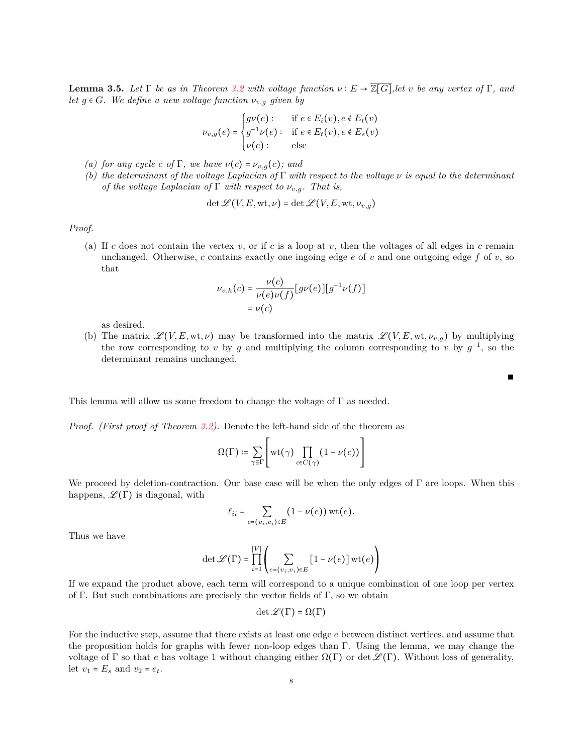**Lemma 3.5.** *Let*  $\Gamma$  *be as in Theorem [3.2](#page-6-2) with voltage function*  $\nu : E \to \overline{\mathbb{Z}[G]}$ , *let v be any vertex of*  $\Gamma$ *, and let*  $g \in G$ *. We define a new voltage function*  $\nu_{v,q}$  *given by* 

$$
\nu_{v,g}(e) = \begin{cases}\ngu(e): & \text{if } e \in E_i(v), e \notin E_t(v) \\
g^{-1}\nu(e): & \text{if } e \in E_t(v), e \notin E_s(v) \\
u(e): & \text{else}\n\end{cases}
$$

- *(a) for any cycle c of*  $\Gamma$ *, we have*  $\nu(c) = \nu_{v,q}(c)$ *; and*
- *(b) the determinant of the voltage Laplacian of* Γ *with respect to the voltage ν is equal to the determinant of the voltage Laplacian of*  $\Gamma$  *with respect to*  $\nu_{v,q}$ *. That is,*

$$
\det \mathscr{L}(V, E, \text{wt}, \nu) = \det \mathscr{L}(V, E, \text{wt}, \nu_{v,g})
$$

*Proof.*

(a) If *c* does not contain the vertex *v*, or if *c* is a loop at *v*, then the voltages of all edges in *c* remain unchanged. Otherwise, *c* contains exactly one ingoing edge *e* of *v* and one outgoing edge *f* of *v*, so that

$$
\nu_{v,h}(c) = \frac{\nu(c)}{\nu(e)\nu(f)} [g\nu(e)][g^{-1}\nu(f)]
$$
  
=  $\nu(c)$ 

as desired.

(b) The matrix  $\mathscr{L}(V, E, \text{wt}, \nu)$  may be transformed into the matrix  $\mathscr{L}(V, E, \text{wt}, \nu_{v,q})$  by multiplying the row corresponding to *v* by *g* and multiplying the column corresponding to *v* by  $g^{-1}$ , so the determinant remains unchanged.

∎

This lemma will allow us some freedom to change the voltage of  $\Gamma$  as needed.

*Proof. (First proof of Theorem [3.2](#page-6-2)).* Denote the left-hand side of the theorem as

$$
\Omega(\Gamma) \coloneqq \sum_{\gamma \in \Gamma} \left[ \text{wt}(\gamma) \prod_{c \in C(\gamma)} (1 - \nu(c)) \right]
$$

F.

We proceed by deletion-contraction. Our base case will be when the only edges of  $\Gamma$  are loops. When this happens,  $\mathscr{L}(\Gamma)$  is diagonal, with

$$
\ell_{ii} = \sum_{e=(v_i,v_i)\in E} (1-\nu(e)) \operatorname{wt}(e).
$$

Thus we have

$$
\det \mathscr{L}(\Gamma) = \prod_{i=1}^{|V|} \left( \sum_{e=(v_i, v_i) \in E} \left[ 1 - \nu(e) \right] \text{wt}(e) \right)
$$

If we expand the product above, each term will correspond to a unique combination of one loop per vertex of Γ. But such combinations are precisely the vector fields of Γ, so we obtain

$$
\det \mathscr{L}(\Gamma) = \Omega(\Gamma)
$$

For the inductive step, assume that there exists at least one edge *e* between distinct vertices, and assume that the proposition holds for graphs with fewer non-loop edges than Γ. Using the lemma, we may change the voltage of Γ so that *e* has voltage 1 without changing either  $\Omega(\Gamma)$  or det  $\mathscr{L}(\Gamma)$ . Without loss of generality, let  $v_1 = E_s$  and  $v_2 = e_t$ .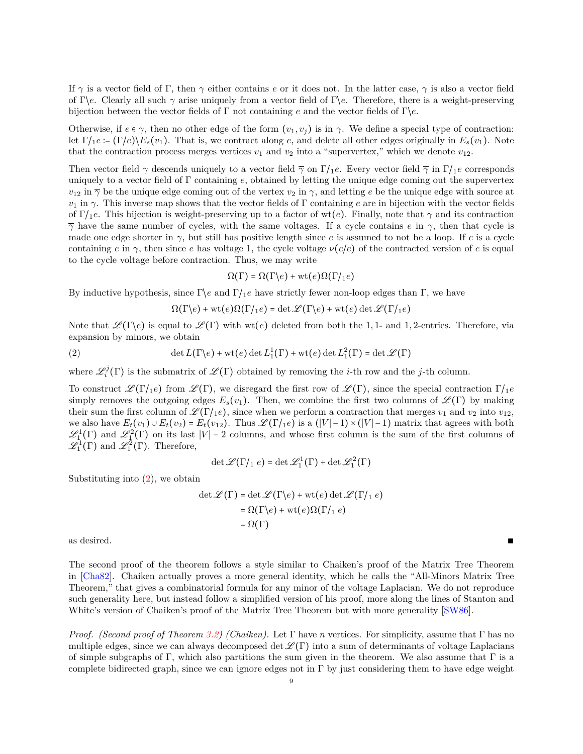If *γ* is a vector field of Γ, then *γ* either contains *e* or it does not. In the latter case, *γ* is also a vector field of <sup>Γ</sup>/*e*. Clearly all such *<sup>γ</sup>* arise uniquely from a vector field of <sup>Γ</sup>/*e*. Therefore, there is a weight-preserving bijection between the vector fields of <sup>Γ</sup> not containing *<sup>e</sup>* and the vector fields of <sup>Γ</sup>/*e*.

Otherwise, if  $e \in \gamma$ , then no other edge of the form  $(v_1, v_j)$  is in  $\gamma$ . We define a special type of contraction: let  $\Gamma/\_1e := (\Gamma/e)\E_s(v_1)$ . That is, we contract along *e*, and delete all other edges originally in  $E_s(v_1)$ . Note that the contraction process merges vertices  $v_1$  and  $v_2$  into a "supervertex," which we denote  $v_{12}$ .

Then vector field  $\gamma$  descends uniquely to a vector field  $\overline{\gamma}$  on  $\Gamma/1e$ . Every vector field  $\overline{\gamma}$  in  $\Gamma/1e$  corresponds uniquely to a vector field of Γ containing *e*, obtained by letting the unique edge coming out the supervertex  $v_{12}$  in  $\overline{\gamma}$  be the unique edge coming out of the vertex  $v_2$  in  $\gamma$ , and letting *e* be the unique edge with source at *v*<sub>1</sub> in  $\gamma$ . This inverse map shows that the vector fields of Γ containing *e* are in bijection with the vector fields of  $\Gamma/1e$ . This bijection is weight-preserving up to a factor of wt(*e*). Finally, note that  $\gamma$  and its contraction  $\overline{\gamma}$  have the same number of cycles, with the same voltages. If a cycle contains *e* in  $\gamma$ , then that cycle is made one edge shorter in  $\overline{\gamma}$ , but still has positive length since *e* is assumed to not be a loop. If *c* is a cycle containing *e* in  $\gamma$ , then since *e* has voltage 1, the cycle voltage  $\nu(c/e)$  of the contracted version of *c* is equal to the cycle voltage before contraction. Thus, we may write

$$
\Omega(\Gamma) = \Omega(\Gamma \backslash e) + \text{wt}(e)\Omega(\Gamma /_1 e)
$$

By inductive hypothesis, since  $\Gamma$ /*e* and  $\Gamma$ /<sub>1</sub>*e* have strictly fewer non-loop edges than Γ, we have

 $\Omega(\Gamma \backslash e) + \text{wt}(e)\Omega(\Gamma /_1 e) = \det \mathscr{L}(\Gamma \backslash e) + \text{wt}(e) \det \mathscr{L}(\Gamma /_1 e)$ 

Note that  $\mathscr{L}(\Gamma \backslash e)$  is equal to  $\mathscr{L}(\Gamma)$  with wt(*e*) deleted from both the 1,1- and 1,2-entries. Therefore, via expansion by minors, we obtain

<span id="page-8-0"></span>(2) 
$$
\det L(\Gamma \backslash e) + \mathrm{wt}(e) \det L_1^1(\Gamma) + \mathrm{wt}(e) \det L_1^2(\Gamma) = \det \mathcal{L}(\Gamma)
$$

where  $\mathscr{L}_i^j(\Gamma)$  is the submatrix of  $\mathscr{L}(\Gamma)$  obtained by removing the *i*-th row and the *j*-th column.

To construct  $\mathscr{L}(\Gamma)_1 e$  from  $\mathscr{L}(\Gamma)$ , we disregard the first row of  $\mathscr{L}(\Gamma)$ , since the special contraction  $\Gamma)_1 e$ simply removes the outgoing edges  $E_s(v_1)$ . Then, we combine the first two columns of  $\mathscr{L}(\Gamma)$  by making their sum the first column of  $\mathscr{L}(\Gamma/\{1e})$ , since when we perform a contraction that merges  $v_1$  and  $v_2$  into  $v_{12}$ , we also have  $E_t(v_1) \cup E_t(v_2) = E_t(v_{12})$ . Thus  $\mathscr{L}(\Gamma/1e)$  is a  $(|V|-1) \times (|V|-1)$  matrix that agrees with both  $\mathcal{L}_1^1(\Gamma)$  and  $\mathcal{L}_2^2(\Gamma)$  on its last  $|V| - 2$  columns, and whose first column is the sum of the first columns of  $\mathscr{L}_1^1(\Gamma)$  and  $\mathscr{L}_1^2(\Gamma)$ . Therefore,

$$
\det \mathcal{L}(\Gamma/_{1} e) = \det \mathcal{L}_{1}^{1}(\Gamma) + \det \mathcal{L}_{1}^{2}(\Gamma)
$$

Substituting into  $(2)$  $(2)$ , we obtain

$$
\det \mathcal{L}(\Gamma) = \det \mathcal{L}(\Gamma \backslash e) + \text{wt}(e) \det \mathcal{L}(\Gamma \backslash \{e\})
$$

$$
= \Omega(\Gamma \backslash e) + \text{wt}(e) \Omega(\Gamma \backslash \{e\})
$$

$$
= \Omega(\Gamma)
$$

 $\blacksquare$  as desired.  $\blacksquare$ 

The second proof of the theorem follows a style similar to Chaiken's proof of the Matrix Tree Theorem in [\[Cha82\]](#page-23-3). Chaiken actually proves a more general identity, which he calls the "All-Minors Matrix Tree Theorem," that gives a combinatorial formula for any minor of the voltage Laplacian. We do not reproduce such generality here, but instead follow a simplified version of his proof, more along the lines of Stanton and White's version of Chaiken's proof of the Matrix Tree Theorem but with more generality [\[SW86](#page-23-7)].

*Proof. (Second proof of Theorem [3.2](#page-6-2)) (Chaiken).* Let Γ have *n* vertices. For simplicity, assume that Γ has no multiple edges, since we can always decomposed det *<sup>L</sup>* (Γ) into a sum of determinants of voltage Laplacians of simple subgraphs of Γ, which also partitions the sum given in the theorem. We also assume that Γ is a complete bidirected graph, since we can ignore edges not in  $\Gamma$  by just considering them to have edge weight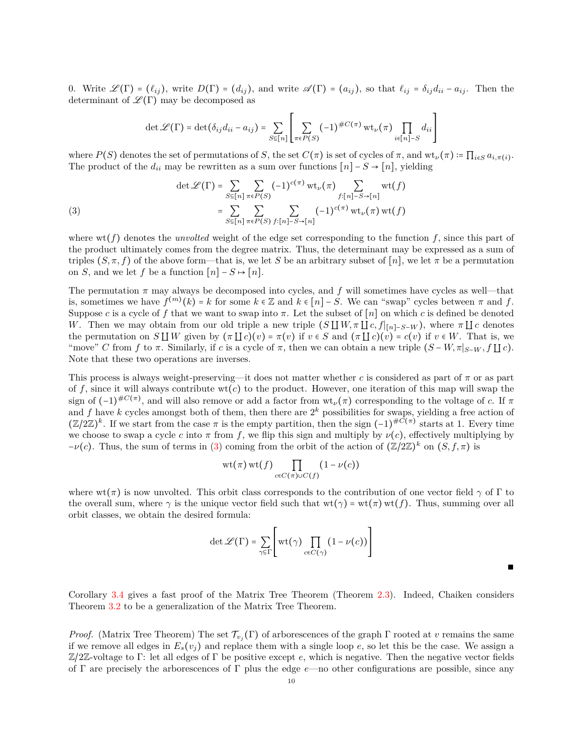0. Write  $\mathscr{L}(\Gamma) = (\ell_{ij})$ , write  $D(\Gamma) = (d_{ij})$ , and write  $\mathscr{A}(\Gamma) = (a_{ij})$ , so that  $\ell_{ij} = \delta_{ij}d_{ii} - a_{ij}$ . Then the determinant of  $\mathscr{L}(\Gamma)$  may be decomposed as

$$
\det \mathcal{L}(\Gamma) = \det(\delta_{ij}d_{ii} - a_{ij}) = \sum_{S \subseteq [n]} \left[ \sum_{\pi \in P(S)} (-1)^{\#C(\pi)} \operatorname{wt}_{\nu}(\pi) \prod_{i \in [n]-S} d_{ii} \right]
$$

where  $P(S)$  denotes the set of permutations of *S*, the set  $C(\pi)$  is set of cycles of  $\pi$ , and  $\operatorname{wt}_{\nu}(\pi) = \prod_{i \in S} a_{i,\pi(i)}$ .<br>The number of the *d* number permutter as a summary functions [al.  $C = \int_0^{\infty} \operatorname{d}^2 \operatorname{d$ The product of the  $d_{ii}$  may be rewritten as a sum over functions  $[n]$  –  $S \rightarrow [n]$ , yielding

<span id="page-9-0"></span>(3)  
\n
$$
\det \mathcal{L}(\Gamma) = \sum_{S \subseteq [n]} \sum_{\pi \in P(S)} (-1)^{c(\pi)} \operatorname{wt}_{\nu}(\pi) \sum_{f:[n]-S \to [n]} \operatorname{wt}(f)
$$
\n
$$
= \sum_{S \subseteq [n]} \sum_{\pi \in P(S)} \sum_{f:[n]-S \to [n]} (-1)^{c(\pi)} \operatorname{wt}_{\nu}(\pi) \operatorname{wt}(f)
$$

where  $wt(f)$  denotes the *unvolted* weight of the edge set corresponding to the function  $f$ , since this part of the product ultimately comes from the degree matrix. Thus, the determinant may be expressed as a sum of triples  $(S, \pi, f)$  of the above form—that is, we let *S* be an arbitrary subset of  $[n]$ , we let  $\pi$  be a permutation on *S*, and we let *f* be a function  $[n]$  –  $S \mapsto [n]$ .

The permutation  $\pi$  may always be decomposed into cycles, and  $f$  will sometimes have cycles as well—that is, sometimes we have  $f^{(m)}(k) = k$  for some  $k \in \mathbb{Z}$  and  $k \in [n] - S$ . We can "swap" cycles between  $\pi$  and  $f$ . Suppose *c* is a cycle of *f* that we want to swap into  $\pi$ . Let the subset of [*n*] on which *c* is defined be denoted *W*. Then we may obtain from our old triple a new triple  $(S \coprod W, \pi \coprod c, f|_{[n]-S-W})$ , where  $\pi \coprod c$  denotes the permutation on  $S \coprod W$  given by  $(\pi \coprod c)(v) = \pi(v)$  if  $v \in S$  and  $(\pi \coprod c)(v) = c(v)$  if  $v \in W$ . That is, we "move" *C* from *f* to  $\pi$ . Similarly, if *c* is a cycle of  $\pi$ , then we can obtain a new triple  $(S - W, \pi|_{S-W}, f \Pi c)$ . Note that these two operations are inverses.

This process is always weight-preserving—it does not matter whether *c* is considered as part of  $\pi$  or as part of f, since it will always contribute  $wt(c)$  to the product. However, one iteration of this map will swap the sign of  $(-1)^{\#C(\pi)}$ , and will also remove or add a factor from  $\operatorname{wt}_\nu(\pi)$  corresponding to the voltage of *c*. If  $\pi$ and  $f$  have  $k$  cycles amongst both of them, then there are  $2^k$  possibilities for swaps, yielding a free action of  $(\mathbb{Z}/2\mathbb{Z})^k$ . If we start from the case  $\pi$  is the empty partition, then the sign  $(-1)^{\#C(\pi)}$  starts at 1. Every time we choose to swap a cycle *c* into  $\pi$  from *f*, we flip this sign and multiply by  $\nu(c)$ , effectively multiplying by  $-ν(c)$ . Thus, the sum of terms in ([3\)](#page-9-0) coming from the orbit of the action of  $(\mathbb{Z}/2\mathbb{Z})^k$  on  $(S, f, π)$  is

$$
\mathrm{wt}(\pi)\,\mathrm{wt}(f)\prod_{c\in C(\pi)\cup C(f)}(1-\nu(c))
$$

where  $wt(\pi)$  is now unvolted. This orbit class corresponds to the contribution of one vector field  $\gamma$  of  $\Gamma$  to the overall sum, where  $\gamma$  is the unique vector field such that  $wt(\gamma) = wt(\pi) wt(f)$ . Thus, summing over all orbit classes, we obtain the desired formula:

$$
\det \mathscr{L}(\Gamma) = \sum_{\gamma \in \Gamma} \left[ \mathrm{wt}(\gamma) \prod_{c \in C(\gamma)} (1 - \nu(c)) \right]
$$

∎

Corollary [3.4](#page-6-3) gives a fast proof of the Matrix Tree Theorem (Theorem [2.3](#page-3-1)). Indeed, Chaiken considers Theorem [3.2](#page-6-2) to be a generalization of the Matrix Tree Theorem.

*Proof.* (Matrix Tree Theorem) The set  $\mathcal{T}_{v_j}(\Gamma)$  of arborescences of the graph  $\Gamma$  rooted at *v* remains the same if we remove all edges in  $E_s(v_i)$  and replace them with a single loop  $e$ , so let this be the case. We assign a <sup>Z</sup>/2Z-voltage to <sup>Γ</sup>: let all edges of <sup>Γ</sup> be positive except *<sup>e</sup>*, which is negative. Then the negative vector fields of Γ are precisely the arborescences of Γ plus the edge *e*—no other configurations are possible, since any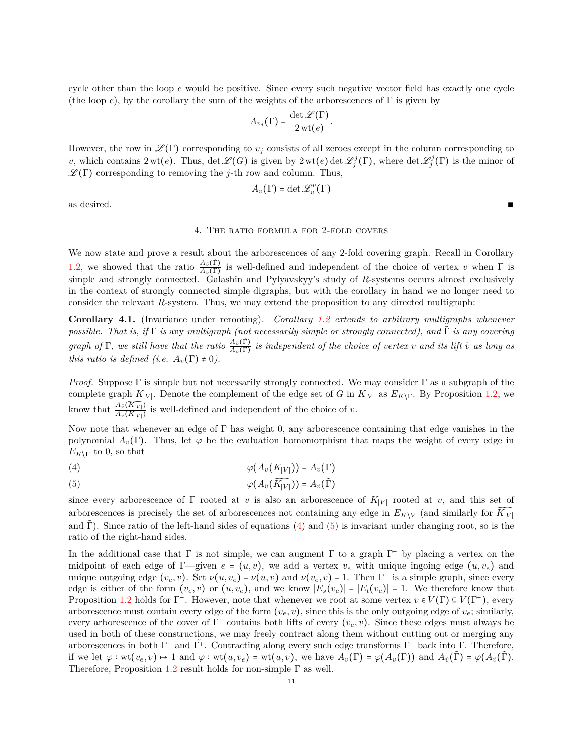cycle other than the loop *e* would be positive. Since every such negative vector field has exactly one cycle (the loop *e*), by the corollary the sum of the weights of the arborescences of  $\Gamma$  is given by

$$
A_{v_j}(\Gamma) = \frac{\det \mathscr{L}(\Gamma)}{2 \operatorname{wt}(e)}.
$$

However, the row in  $\mathscr{L}(\Gamma)$  corresponding to  $v_j$  consists of all zeroes except in the column corresponding to *v*, which contains  $2 \text{ wt}(e)$ . Thus,  $\det \mathcal{L}(G)$  is given by  $2 \text{ wt}(e) \det \mathcal{L}^j_j(\Gamma)$ , where  $\det \mathcal{L}^j_j(\Gamma)$  is the minor of  $\mathscr{L}(\Gamma)$  corresponding to removing the *j*-th row and column. Thus,

$$
A_v(\Gamma)=\det \mathscr{L}^v_v(\Gamma)
$$

<span id="page-10-0"></span> $\blacksquare$  as desired.  $\blacksquare$ 

### 4. The ratio formula for 2-fold covers

We now state and prove a result about the arborescences of any 2-fold covering graph. Recall in Corollary [1.2,](#page-1-1) we showed that the ratio  $\frac{A_{\tilde{v}}(\tilde{\Gamma})}{A_{v}(\Gamma)}$  is well-defined and independent of the choice of vertex *v* when  $\Gamma$  is simple and strongly connected. Galashin and Pylyavskyy's study of *R*-systems occurs almost exclusively in the context of strongly connected simple digraphs, but with the corollary in hand we no longer need to consider the relevant *R*-system. Thus, we may extend the proposition to any directed multigraph:

<span id="page-10-3"></span>**Corollary 4.1.** (Invariance under rerooting)*. Corollary [1.2](#page-1-1) extends to arbitrary multigraphs whenever possible. That is, if* Γ *is* any *multigraph* (not necessarily simple or strongly connected), and Γ *is any covering graph of* Γ, we still have that the ratio  $\frac{A_{\tilde{v}}(\tilde{\Gamma})}{A_{v}(\Gamma)}$  is independent of the choice of vertex *v* and its lift  $\tilde{v}$  as long as *this ratio is defined (i.e.*  $A_v(\Gamma) \neq 0$ ).

*Proof.* Suppose Γ is simple but not necessarily strongly connected. We may consider Γ as a subgraph of the complete graph  $K_{|V|}$ . Denote the complement of the edge set of *G* in  $K_{|V|}$  as  $E_{K\backslash\Gamma}$ . By Proposition [1.2,](#page-1-1) we know that  $\frac{A_v(K_{|V|})}{A_v(K_{|V|})}$  is well-defined and independent of the choice of *v*.

Now note that whenever an edge of Γ has weight 0, any arborescence containing that edge vanishes in the polynomial  $A_v(\Gamma)$ . Thus, let  $\varphi$  be the evaluation homomorphism that maps the weight of every edge in  $E_{K\setminus\Gamma}$  to 0, so that

<span id="page-10-1"></span>
$$
\varphi(A_v(K_{|V|})) = A_v(\Gamma)
$$

<span id="page-10-2"></span>(5) 
$$
\varphi(A_{\tilde{v}}(\widetilde{K_{|V|}})) = A_{\tilde{v}}(\tilde{\Gamma})
$$

since every arborescence of  $\Gamma$  rooted at *v* is also an arborescence of  $K_{|V|}$  rooted at *v*, and this set of arborescences is precisely the set of arborescences not containing any edge in  $E_{K\setminus V}$  (and similarly for  $\widetilde{K_{|V|}}$ and  $\tilde{\Gamma}$ ). Since ratio of the left-hand sides of equations ([4\)](#page-10-1) and ([5\)](#page-10-2) is invariant under changing root, so is the ratio of the right-hand sides.

In the additional case that  $\Gamma$  is not simple, we can augment  $\Gamma$  to a graph  $\Gamma^+$  by placing a vertex on the midpoint of each edge of  $\Gamma$ —given  $e = (u, v)$ , we add a vertex  $v_e$  with unique ingoing edge  $(u, v_e)$  and unique outgoing edge  $(v_e, v)$ . Set  $\nu(u, v_e) = \nu(u, v)$  and  $\nu(v_e, v) = 1$ . Then  $\Gamma^+$  is a simple graph, since every edge is either of the form  $(v_e, v)$  or  $(u, v_e)$ , and we know  $|E_s(v_e)| = |E_t(v_e)| = 1$ . We therefore know that Proposition [1.2](#page-1-1) holds for  $\Gamma^+$ . However, note that whenever we root at some vertex  $v \in V(\Gamma) \subseteq V(\Gamma^+)$ , every arborescence must contain every edge of the form  $(v_e, v)$ , since this is the only outgoing edge of  $v_e$ ; similarly, every arborescence of the cover of  $\Gamma^+$  contains both lifts of every  $(v_e, v)$ . Since these edges must always be used in both of these constructions, we may freely contract along them without cutting out or merging any arborescences in both  $\Gamma^+$  and  $\tilde{\Gamma^+}$ . Contracting along every such edge transforms  $\Gamma^+$  back into  $\Gamma$ . Therefore, if we let  $\varphi : \text{wt}(v_e, v) \to 1$  and  $\varphi : \text{wt}(u, v_e) = \text{wt}(u, v)$ , we have  $A_v(\Gamma) = \varphi(A_v(\Gamma))$  and  $A_{\tilde{v}}(\tilde{\Gamma}) = \varphi(A_{\tilde{v}}(\tilde{\Gamma})$ . Therefore, Proposition [1.2](#page-1-1) result holds for non-simple  $\Gamma$  as well.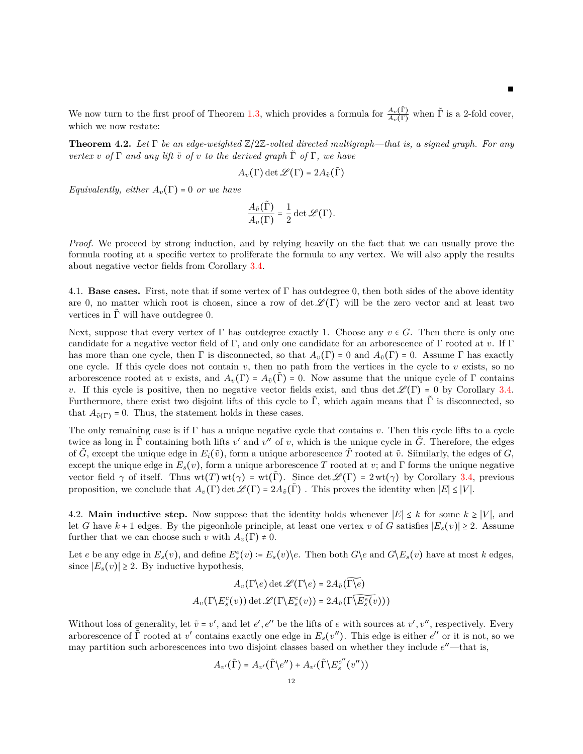We now turn to the first proof of Theorem [1.3,](#page-1-2) which provides a formula for  $\frac{A_v(\tilde{\Gamma})}{A_v(\Gamma)}$  when  $\tilde{\Gamma}$  is a 2-fold cover, which we now restate:

∎

**Theorem 4.2.** *Let* <sup>Γ</sup> *be an edge-weighted* <sup>Z</sup>/2Z*-volted directed multigraph—that is, a signed graph. For any vertex v of*  $\Gamma$  *and any lift*  $\tilde{v}$  *of v to the derived graph*  $\tilde{\Gamma}$  *of*  $\Gamma$ *, we have* 

$$
A_v(\Gamma)\det\mathscr{L}(\Gamma)=2A_{\tilde{v}}(\tilde{\Gamma})
$$

*Equivalently, either*  $A_v(\Gamma) = 0$  *or we have* 

$$
\frac{A_{\tilde{v}}(\tilde{\Gamma})}{A_{v}(\Gamma)} = \frac{1}{2} \det \mathscr{L}(\Gamma).
$$

*Proof.* We proceed by strong induction, and by relying heavily on the fact that we can usually prove the formula rooting at a specific vertex to proliferate the formula to any vertex. We will also apply the results about negative vector fields from Corollary [3.4.](#page-6-3)

4.1. **Base cases.** First, note that if some vertex of Γ has outdegree 0, then both sides of the above identity are <sup>0</sup>, no matter which root is chosen, since a row of det *<sup>L</sup>* (Γ) will be the zero vector and at least two vertices in  $\Gamma$  will have outdegree 0.

Next, suppose that every vertex of  $\Gamma$  has outdegree exactly 1. Choose any  $v \in G$ . Then there is only one candidate for a negative vector field of Γ, and only one candidate for an arborescence of Γ rooted at *v*. If Γ has more than one cycle, then  $\Gamma$  is disconnected, so that  $A_v(\Gamma) = 0$  and  $A_{\tilde{v}}(\Gamma) = 0$ . Assume  $\Gamma$  has exactly one cycle. If this cycle does not contain  $v$ , then no path from the vertices in the cycle to  $v$  exists, so no arborescence rooted at *v* exists, and  $A_v(\Gamma) = A_{\tilde{v}}(\Gamma) = 0$ . Now assume that the unique cycle of Γ contains *v*. If this cycle is positive, then no negative vector fields exist, and thus det  $\mathscr{L}(\Gamma) = 0$  by Corollary [3.4](#page-6-3). Furthermore, there exist two disjoint lifts of this cycle to  $\tilde{\Gamma}$ , which again means that  $\tilde{\Gamma}$  is disconnected, so that  $A_{\tilde{v}(\Gamma)} = 0$ . Thus, the statement holds in these cases.

The only remaining case is if Γ has a unique negative cycle that contains *v*. Then this cycle lifts to a cycle twice as long in  $\tilde{\Gamma}$  containing both lifts  $v'$  and  $v''$  of  $v$ , which is the unique cycle in  $\tilde{G}$ . Therefore, the edges of  $\tilde{G}$ , except the unique edge in  $E_i(\tilde{v})$ , form a unique arborescence  $\tilde{T}$  rooted at  $\tilde{v}$ . Siimilarly, the edges of  $G$ , except the unique edge in  $E_s(v)$ , form a unique arborescence *T* rooted at *v*; and Γ forms the unique negative vector field  $\gamma$  of itself. Thus  $wt(T)wt(\gamma) = wt(\Gamma)$ . Since  $det \mathcal{L}(\Gamma) = 2wt(\gamma)$  by Corollary [3.4](#page-6-3), previous proposition, we conclude that  $A_v(\Gamma)$  det  $\mathscr{L}(\Gamma) = 2A_{\tilde{v}}(\Gamma)$ . This proves the identity when  $|E| \leq |V|$ .

4.2. **Main inductive step.** Now suppose that the identity holds whenever  $|E| \leq k$  for some  $k \geq |V|$ , and let *G* have  $k + 1$  edges. By the pigeonhole principle, at least one vertex *v* of *G* satisfies  $|E_s(v)| \ge 2$ . Assume further that we can choose such *v* with  $A_v(\Gamma) \neq 0$ .

Let e be any edge in  $E_s(v)$ , and define  $E_s^e(v) := E_s(v) \setminus e$ . Then both  $G \setminus e$  and  $G \setminus E_s(v)$  have at most k edges, since  $|E_s(v)| \geq 2$ . By inductive hypothesis,

$$
A_v(\Gamma \backslash e) \det \mathcal{L}(\Gamma \backslash e) = 2A_{\tilde{v}}(\Gamma \backslash e)
$$

$$
A_v(\Gamma \backslash E_s^e(v)) \det \mathcal{L}(\Gamma \backslash E_s^e(v)) = 2A_{\tilde{v}}(\Gamma \backslash \widetilde{E_s^e(v)}))
$$

Without loss of generality, let  $\tilde{v} = v'$ , and let  $e', e''$  be the lifts of *e* with sources at  $v', v''$ , respectively. Every arborescence of  $\tilde{\Gamma}$  rooted at *v'* contains exactly one edge in  $E_s(v'')$ . This edge is either *e''* or it is not, so we may partition such arborescences into two disjoint classes based on whether they include *e* ′′—that is,

$$
A_{v'}(\tilde{\Gamma}) = A_{v'}(\tilde{\Gamma}\backslash e'') + A_{v'}(\tilde{\Gamma}\backslash E_s^{e''}(v''))
$$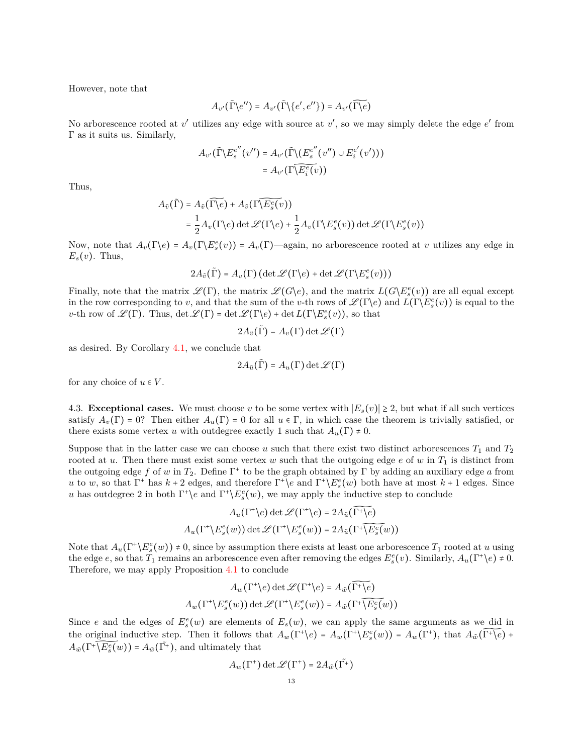However, note that

$$
A_{v'}(\tilde{\Gamma}\backslash e'') = A_{v'}(\tilde{\Gamma}\backslash\{e',e''\}) = A_{v'}(\widetilde{\Gamma\backslash e})
$$

No arborescence rooted at *v*' utilizes any edge with source at *v*', so we may simply delete the edge *e*' from Γ as it suits us. Similarly,

$$
A_{v'}(\tilde{\Gamma}\backslash E_s^{e''}(v'') = A_{v'}(\tilde{\Gamma}\backslash (E_s^{e''}(v'') \cup E_i^{e'}(v')))
$$

$$
= A_{v'}(\tilde{\Gamma}\backslash E_i^{e}(v))
$$

Thus,

$$
A_{\tilde{v}}(\tilde{\Gamma}) = A_{\tilde{v}}(\widetilde{\Gamma \backslash e}) + A_{\tilde{v}}(\Gamma \widetilde{\backslash E^e_s(v)})
$$
  
=  $\frac{1}{2} A_v(\Gamma \backslash e) \det \mathcal{L}(\Gamma \backslash e) + \frac{1}{2} A_v(\Gamma \backslash E^e_s(v)) \det \mathcal{L}(\Gamma \backslash E^e_s(v))$ 

Now, note that  $A_v(\Gamma \backslash e) = A_v(\Gamma \backslash E_s^e(v)) = A_v(\Gamma)$ —again, no arborescence rooted at *v* utilizes any edge in  $E_s(v)$ . Thus,

$$
2A_{\tilde{v}}(\tilde{\Gamma}) = A_v(\Gamma) \left( \det \mathcal{L}(\Gamma \backslash e) + \det \mathcal{L}(\Gamma \backslash E_s^e(v)) \right)
$$

Finally, note that the matrix  $\mathscr{L}(\Gamma)$ , the matrix  $\mathscr{L}(G \backslash e)$ , and the matrix  $L(G \backslash E_{s}^{e}(v))$  are all equal except<br>in the gauge summary of the second that the gauge of the suth gauge of  $\mathscr{L}(\Gamma)$  and  $L(\Gamma)$   $E_{s$ in the row corresponding to *v*, and that the sum of the *v*-th rows of  $\mathscr{L}(\Gamma \backslash e)$  and  $L(\Gamma \backslash E_s^e(v))$  is equal to the *v*-th row of  $\mathscr{L}(\Gamma)$ . Thus,  $\det \mathscr{L}(\Gamma) = \det \mathscr{L}(\Gamma \backslash e) + \det L(\Gamma \backslash E_s^e(v))$ , so that

$$
2A_{\tilde{v}}(\tilde{\Gamma})=A_v(\Gamma)\det \mathscr{L}(\Gamma)
$$

as desired. By Corollary [4.1](#page-10-3), we conclude that

$$
2A_{\tilde{u}}(\tilde{\Gamma}) = A_u(\Gamma) \det \mathscr{L}(\Gamma)
$$

for any choice of  $u \in V$ .

4.3. **Exceptional cases.** We must choose *v* to be some vertex with  $|E_s(v)| \ge 2$ , but what if all such vertices satisfy  $A_v(\Gamma) = 0$ ? Then either  $A_u(\Gamma) = 0$  for all  $u \in \Gamma$ , in which case the theorem is trivially satisfied, or there exists some vertex *u* with outdegree exactly 1 such that  $A_u(\Gamma) \neq 0$ .

Suppose that in the latter case we can choose  $u$  such that there exist two distinct arborescences  $T_1$  and  $T_2$ rooted at *u*. Then there must exist some vertex *w* such that the outgoing edge *e* of *w* in *T*<sup>1</sup> is distinct from the outgoing edge *f* of *w* in  $T_2$ . Define  $\Gamma^+$  to be the graph obtained by  $\Gamma$  by adding an auxiliary edge *a* from *u* to *w*, so that  $\Gamma^+$  has  $k + 2$  edges, and therefore  $\Gamma^+ \geq$  and  $\Gamma^+ \geq \mathbb{F}^e(w)$  both have at most  $k + 1$  edges. Since *u* has outdegree 2 in both  $\Gamma^+\backslash e$  and  $\Gamma^+\backslash E^e_s(w)$ , we may apply the inductive step to conclude

$$
A_u(\Gamma^+\e) \det \mathcal{L}(\Gamma^+\e) = 2A_{\tilde{u}}(\overline{\Gamma^+\e})
$$

$$
A_u(\Gamma^+\searrow^e(u)) \det \mathcal{L}(\Gamma^+\searrow^e(u)) = 2A_{\tilde{u}}(\Gamma^+\searrow^e(u))
$$

Note that  $A_u(\Gamma^+\setminus E_s^e(w)) \neq 0$ , since by assumption there exists at least one arborescence  $T_1$  rooted at *u* using the edge *e*, so that  $T_1$  remains an arborescence even after removing the edges  $E_s^e(v)$ . Similarly,  $A_u(\Gamma^+|e) \neq 0$ .<br>Therefore, we may apply Proposition 4.1 to conclude Therefore, we may apply Proposition [4.1](#page-10-3) to conclude

$$
A_w(\Gamma^+\backslash e) \det \mathcal{L}(\Gamma^+\backslash e) = A_{\tilde{w}}(\Gamma^+\backslash e)
$$

$$
A_w(\Gamma^+\backslash E_s^e(w)) \det \mathcal{L}(\Gamma^+\backslash E_s^e(w)) = A_{\tilde{w}}(\Gamma^+\backslash E_s^e(w))
$$

Since *e* and the edges of  $E_s^e(w)$  are elements of  $E_s(w)$ , we can apply the same arguments as we did in the original inductive step. Then it follows that  $A_w(\Gamma^+\backslash e) = A_w(\Gamma^+\backslash E_s^e(w)) = A_w(\Gamma^+)$ , that  $A_{\tilde{w}}(\overline{\Gamma^+\backslash e}) + A_w(\overline{\Gamma^+\backslash e})$  $A_{\tilde{w}}(\Gamma^*\sqrt{E_s^e(w)}) = A_{\tilde{w}}(\tilde{\Gamma^*}),$  and ultimately that

$$
A_w(\Gamma^+) \det \mathscr{L}(\Gamma^+) = 2A_{\tilde{w}}(\tilde{\Gamma^+})
$$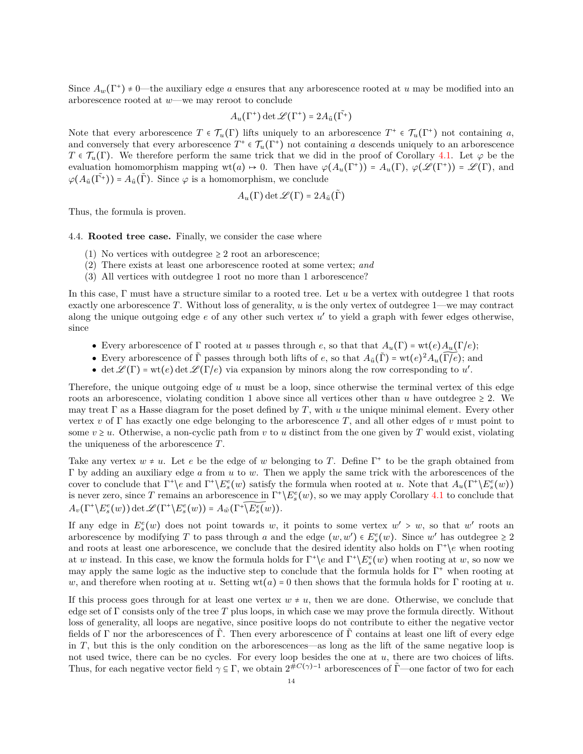Since  $A_w(\Gamma^+) \neq 0$ —the auxiliary edge *a* ensures that any arborescence rooted at *u* may be modified into an arborescence rooted at *w*—we may reroot to conclude

$$
A_u(\Gamma^+) \det \mathscr{L}(\Gamma^+) = 2A_{\tilde{u}}(\tilde{\Gamma^+})
$$

Note that every arborescence  $T \in \mathcal{T}_u(\Gamma)$  lifts uniquely to an arborescence  $T^+ \in \mathcal{T}_u(\Gamma^+)$  not containing *a*, and conversely that every arborescence  $T^+ \in \mathcal{T}_u(\Gamma^+)$  not containing *a* descends uniquely to an arborescence  $T \in \mathcal{T}_u(\Gamma)$ . We therefore perform the same trial, that we did in the press of Gangllany 4.1. Let us he th *T*  $\in$  *T*<sub>u</sub>(Γ). We therefore perform the same trick that we did in the proof of Corollary [4.1.](#page-10-3) Let  $\varphi$  be the evaluation homomorphism mapping wt(*a*)  $\mapsto$  0. Then have  $\varphi(A_u(\Gamma^+)) = A_u(\Gamma), \varphi(\mathscr{L}(\Gamma^+)) = \mathscr{L}(\Gamma)$ , and  $\varphi(A_{\tilde{u}}(\tilde{\Gamma^+})) = A_{\tilde{u}}(\tilde{\Gamma})$ . Since  $\varphi$  is a homomorphism, we conclude

$$
A_u(\Gamma)\det\mathscr{L}(\Gamma) = 2A_{\tilde{u}}(\tilde{\Gamma})
$$

Thus, the formula is proven.

4.4. **Rooted tree case.** Finally, we consider the case where

- (1) No vertices with outdegree  $\geq 2$  root an arborescence;
- (2) There exists at least one arborescence rooted at some vertex; *and*
- (3) All vertices with outdegree 1 root no more than 1 arborescence?

In this case, Γ must have a structure similar to a rooted tree. Let *u* be a vertex with outdegree 1 that roots exactly one arborescence *T*. Without loss of generality, *u* is the only vertex of outdegree 1—we may contract along the unique outgoing edge *e* of any other such vertex *u* ′ to yield a graph with fewer edges otherwise, since

- Every arborescence of  $\Gamma$  rooted at *u* passes through *e*, so that that  $A_u(\Gamma) = \text{wt}(e)A_u(\Gamma/e);$
- Every arborescence of  $\tilde{\Gamma}$  passes through both lifts of *e*, so that  $A_{\tilde{u}}(\tilde{\Gamma}) = \text{wt}(e)^2 A_u(\tilde{\Gamma}/e)$ ; and
- det  $\mathcal{L}(\Gamma)$  = wt(*e*) det  $\mathcal{L}(\Gamma/e)$  via expansion by minors along the row corresponding to *u'*.

Therefore, the unique outgoing edge of *u* must be a loop, since otherwise the terminal vertex of this edge roots an arborescence, violating condition 1 above since all vertices other than *u* have outdegree  $\geq 2$ . We may treat Γ as a Hasse diagram for the poset defined by *T*, with *u* the unique minimal element. Every other vertex *v* of Γ has exactly one edge belonging to the arborescence *T*, and all other edges of *v* must point to some  $v \geq u$ . Otherwise, a non-cyclic path from *v* to *u* distinct from the one given by *T* would exist, violating the uniqueness of the arborescence *T*.

Take any vertex  $w \neq u$ . Let *e* be the edge of *w* belonging to *T*. Define  $\Gamma^+$  to be the graph obtained from Γ by adding an auxiliary edge *a* from *u* to *w*. Then we apply the same trick with the arborescences of the cover to conclude that  $\Gamma^+ \backslash e$  and  $\Gamma^+ \backslash E^e_s(w)$  satisfy the formula when rooted at *u*. Note that  $A_u(\Gamma^+ \backslash E^e_s(w))$ is never zero, since *T* remains an arborescence in  $\Gamma^+ \backslash E_s^e(w)$ , so we may apply Corollary [4.1](#page-10-3) to conclude that  $A_v(\Gamma^+\backslash E_s^e(w)) \det \mathscr{L}(\Gamma^+\backslash E_s^e(w)) = A_{\tilde{w}}(\Gamma^+\backslash E_s^e(w)).$ 

If any edge in  $E_s^e(w)$  does not point towards *w*, it points to some vertex  $w' > w$ , so that  $w'$  roots an arborescence by modifying *T* to pass through *a* and the edge  $(w, w') \in E_{s}^{e}(w)$ . Since  $w'$  has outdegree  $\geq 2$ and roots at least one arborescence, we conclude that the desired identity also holds on  $\Gamma^+$  /*e* when rooting the rooting of an region of the second property in this case, we know the formula holds for  $\Gamma^+$ ) and  $\Gamma$ at *w* instead. In this case, we know the formula holds for  $\Gamma^+ \geq e$  and  $\Gamma^+ \geq e^e(w)$  when rooting at *w*, so now we may apply the same logic as the inductive step to conclude that the formula holds for  $\Gamma^+$  when rooting at *<sup>w</sup>*, and therefore when rooting at *<sup>u</sup>*. Setting wt(*a*) <sup>=</sup> <sup>0</sup> then shows that the formula holds for <sup>Γ</sup> rooting at *<sup>u</sup>*.

If this process goes through for at least one vertex  $w \neq u$ , then we are done. Otherwise, we conclude that edge set of Γ consists only of the tree *T* plus loops, in which case we may prove the formula directly. Without loss of generality, all loops are negative, since positive loops do not contribute to either the negative vector fields of Γ nor the arborescences of Γ . Then every arborescence of Γ contains at least one lift of every edge in *T*, but this is the only condition on the arborescences—as long as the lift of the same negative loop is not used twice, there can be no cycles. For every loop besides the one at *u*, there are two choices of lifts. Thus, for each negative vector field  $\gamma \subseteq \Gamma$ , we obtain  $2^{\#C(\gamma)-1}$  arborescences of  $\tilde{\Gamma}$ —one factor of two for each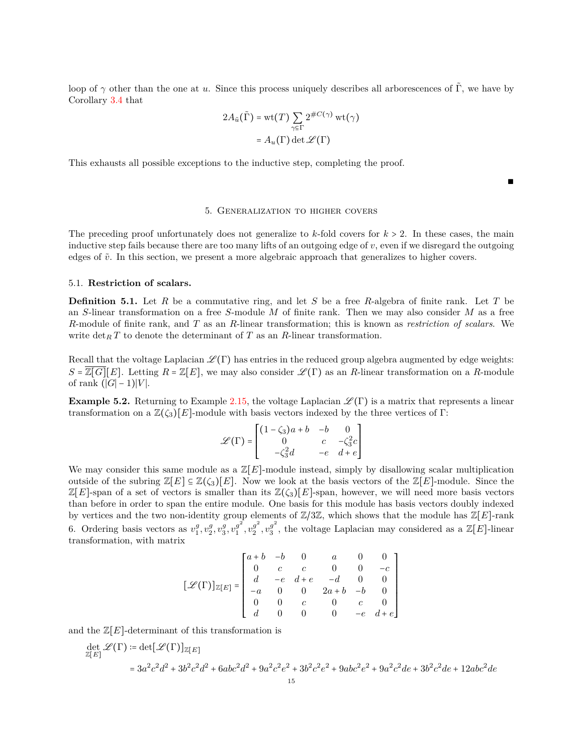loop of  $\gamma$  other than the one at *u*. Since this process uniquely describes all arborescences of  $\tilde{\Gamma}$ , we have by Corollary [3.4](#page-6-3) that

$$
2A_{\tilde{u}}(\tilde{\Gamma}) = \text{wt}(T) \sum_{\gamma \in \Gamma} 2^{\#C(\gamma)} \text{wt}(\gamma)
$$

$$
= A_u(\Gamma) \det \mathcal{L}(\Gamma)
$$

This exhausts all possible exceptions to the inductive step, completing the proof.

∎

### 5. Generalization to higher covers

<span id="page-14-0"></span>The preceding proof unfortunately does not generalize to  $k$ -fold covers for  $k > 2$ . In these cases, the main inductive step fails because there are too many lifts of an outgoing edge of *v*, even if we disregard the outgoing edges of  $\tilde{v}$ . In this section, we present a more algebraic approach that generalizes to higher covers.

### 5.1. **Restriction of scalars.**

**Definition 5.1.** Let *R* be a commutative ring, and let *S* be a free *R*-algebra of finite rank. Let *T* be an *S*-linear transformation on a free *S*-module *M* of finite rank. Then we may also consider *M* as a free *R*-module of finite rank, and *T* as an *R*-linear transformation; this is known as *restriction of scalars*. We write  $\det_R T$  to denote the determinant of  $T$  as an  $R$ -linear transformation.

Recall that the voltage Laplacian *<sup>L</sup>* (Γ) has entries in the reduced group algebra augmented by edge weights:  $S = \overline{\mathbb{Z}[G]}[E]$ . Letting  $R = \mathbb{Z}[E]$ , we may also consider  $\mathscr{L}(\Gamma)$  as an *R*-linear transformation on a *R*-module of rank  $(|G| - 1)|V|$ .

<span id="page-14-1"></span>**Example 5.2.** Returning to Example [2.15](#page-5-0), the voltage Laplacian  $\mathscr{L}(\Gamma)$  is a matrix that represents a linear transformation on a  $\mathbb{Z}(\zeta_3)[E]$ -module with basis vectors indexed by the three vertices of Γ:

$$
\mathcal{L}(\Gamma) = \begin{bmatrix} (1 - \zeta_3)a + b & -b & 0 \\ 0 & c & -\zeta_3^2c \\ -\zeta_3^2d & -e & d + e \end{bmatrix}
$$

We may consider this same module as a  $\mathbb{Z}[E]$ -module instead, simply by disallowing scalar multiplication<br>cutation of the subming  $\mathbb{Z}[E] \subseteq \mathbb{Z}(\mathcal{L})[E]$ . Now we look at the horizontation of the  $\mathbb{Z}[E]$  module. outside of the subring  $\mathbb{Z}[E] \subseteq \mathbb{Z}(\zeta_3)[E]$ . Now we look at the basis vectors of the  $\mathbb{Z}[E]$ -module. Since the  $\mathbb{Z}[E]$ -span of a set of vectors is smaller than its  $\mathbb{Z}(\zeta_3)[E]$ -span, however, we will need more basis vectors than before in order to span the entire module. One basis for this module has basis vectors doubly indexed by vertices and the two non-identity group elements of  $\mathbb{Z}/3\mathbb{Z}$ , which shows that the module has  $\mathbb{Z}[E]$ -rank 6. Ordering basis vectors as  $v_1^g, v_2^g, v_3^g, v_1^{g^2}$  $g^2, v_2^{g^2}$  $g^2, v_3^{g^2}$  $\frac{g}{3}$ , the voltage Laplacian may considered as a  $\mathbb{Z}[E]$ -linear transformation, with matrix

$$
[\mathscr{L}(\Gamma)]_{\mathbb{Z}[E]} = \begin{bmatrix} a+b & -b & 0 & a & 0 & 0 \\ 0 & c & c & 0 & 0 & -c \\ d & -e & d+e & -d & 0 & 0 \\ -a & 0 & 0 & 2a+b & -b & 0 \\ 0 & 0 & c & 0 & c & 0 \\ d & 0 & 0 & 0 & -e & d+e \end{bmatrix}
$$

and the  $\mathbb{Z}[E]$ -determinant of this transformation is

$$
\det_{\mathbb{Z}[E]} \mathcal{L}(\Gamma) \coloneqq \det[\mathcal{L}(\Gamma)]_{\mathbb{Z}[E]}
$$
\n
$$
= 3a^2c^2d^2 + 3b^2c^2d^2 + 6abc^2d^2 + 9a^2c^2e^2 + 3b^2c^2e^2 + 9abc^2e^2 + 9a^2c^2de + 3b^2c^2de + 12abc^2de
$$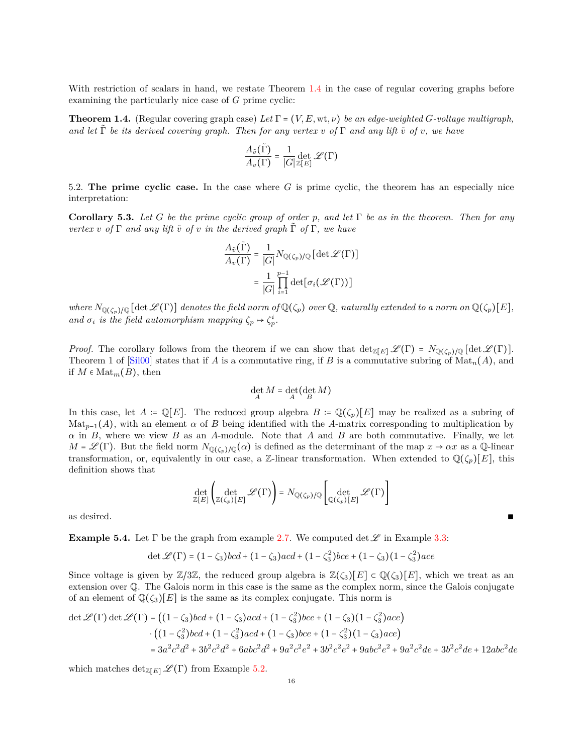With restriction of scalars in hand, we restate Theorem [1.4](#page-1-0) in the case of regular covering graphs before examining the particularly nice case of *G* prime cyclic:

**Theorem 1.4.** (Regular covering graph case) *Let*  $\Gamma = (V, E, wt, \nu)$  *be an edge-weighted G-voltage multigraph, and let*  $\Gamma$  *be its derived covering graph. Then for any vertex v of*  $\Gamma$  *and any lift*  $\tilde{v}$  *of v, we have* 

$$
\frac{A_{\tilde{v}}(\tilde{\Gamma})}{A_{v}(\Gamma)} = \frac{1}{|G|} \det_{\mathbb{Z}[E]} \mathscr{L}(\Gamma)
$$

5.2. **The prime cyclic case.** In the case where *G* is prime cyclic, the theorem has an especially nice interpretation:

<span id="page-15-0"></span>**Corollary 5.3.** *Let G be the prime cyclic group of order p, and let* Γ *be as in the theorem. Then for any vertex v of*  $\Gamma$  *and any lift*  $\tilde{v}$  *of v in the derived graph*  $\Gamma$  *of*  $\Gamma$ *, we have* 

$$
\frac{A_{\tilde{v}}(\tilde{\Gamma})}{A_{v}(\Gamma)} = \frac{1}{|G|} N_{\mathbb{Q}(\zeta_p)/\mathbb{Q}} \left[ \det \mathcal{L}(\Gamma) \right]
$$

$$
= \frac{1}{|G|} \prod_{i=1}^{p-1} \det \left[ \sigma_i(\mathcal{L}(\Gamma)) \right]
$$

*where*  $N_{\mathbb{Q}(\zeta_p)/\mathbb{Q}}$  [det  $\mathscr{L}(\Gamma)$ ] *denotes the field norm of*  $\mathbb{Q}(\zeta_p)$  *over*  $\mathbb{Q}$ *, naturally extended to a norm on*  $\mathbb{Q}(\zeta_p)[E]$ *, and*  $\sigma_i$  *is the field automorphism mapping*  $\zeta_p \mapsto \zeta_p^i$ .

*Proof.* The corollary follows from the theorem if we can show that  $\det_{\mathbb{Z}[E]} \mathscr{L}(\Gamma) = N_{\mathbb{Q}(\zeta_p)/\mathbb{Q}}[\det \mathscr{L}(\Gamma)].$ Theorem 1 of  $[\text{Si}100]$  states that if *A* is a commutative ring, if *B* is a commutative subring of  $\text{Mat}_n(A)$ , and if  $M ∈ Mat_m(B)$ , then

$$
\det_A M = \det_A (\det_B M)
$$

In this case, let  $A \coloneqq \mathbb{Q}[E]$ . The reduced group algebra  $B \coloneqq \mathbb{Q}(\zeta_p)[E]$  may be realized as a subring of  $\text{Mat}_{p-1}(A)$ , with an element  $\alpha$  of *B* being identified with the *A*-matrix corresponding to multiplication by *α* in *B*, where we view *B* as an *A*-module. Note that *A* and *B* are both commutative. Finally, we let  $M = \mathscr{L}(\Gamma)$ . But the field norm  $N_{\mathbb{Q}(\zeta_p)/\mathbb{Q}}(\alpha)$  is defined as the determinant of the map  $x \mapsto \alpha x$  as a Q-linear transformation, or, equivalently in our case, a Z-linear transformation. When extended to  $\mathbb{Q}(\zeta_p)[E]$ , this definition shows that

$$
\det_{\mathbb{Z}[E]} \left( \det_{\mathbb{Z}(\zeta_p)[E]} \mathcal{L}(\Gamma) \right) = N_{\mathbb{Q}(\zeta_p)/\mathbb{Q}} \left[ \det_{\mathbb{Q}(\zeta_p)[E]} \mathcal{L}(\Gamma) \right]
$$

as desired.  $■$ 

**Example 5.4.** Let Γ be the graph from example [2.7.](#page-3-0) We computed det *L* in Example [3.3](#page-6-4):

$$
\det \mathcal{L}(\Gamma) = (1 - \zeta_3) bcd + (1 - \zeta_3) acd + (1 - \zeta_3^2) bce + (1 - \zeta_3)(1 - \zeta_3^2) ace
$$

Since voltage is given by  $\mathbb{Z}/3\mathbb{Z}$ , the reduced group algebra is  $\mathbb{Z}(\zeta_3)[E] \subset \mathbb{Q}(\zeta_3)[E]$ , which we treat as an extension over Q. The Galois norm in this case is the same as the complex norm, since the Galois conjugate of an element of  $\mathbb{Q}(\zeta_3)[E]$  is the same as its complex conjugate. This norm is

$$
\det \mathcal{L}(\Gamma) \det \overline{\mathcal{L}(\Gamma)} = ((1 - \zeta_3) bcd + (1 - \zeta_3) acd + (1 - \zeta_3^2) bce + (1 - \zeta_3)(1 - \zeta_3^2) ace)
$$
  
\n
$$
\cdot ((1 - \zeta_3^2) bcd + (1 - \zeta_3^2) acd + (1 - \zeta_3) bce + (1 - \zeta_3^2)(1 - \zeta_3) ace)
$$
  
\n
$$
= 3a^2c^2d^2 + 3b^2c^2d^2 + 6abc^2d^2 + 9a^2c^2e^2 + 3b^2c^2e^2 + 9abc^2e^2 + 9a^2c^2de + 3b^2c^2de + 12abc^2de
$$

which matches  $\det_{\mathbb{Z}[E]} \mathscr{L}(\Gamma)$  from Example [5.2](#page-14-1).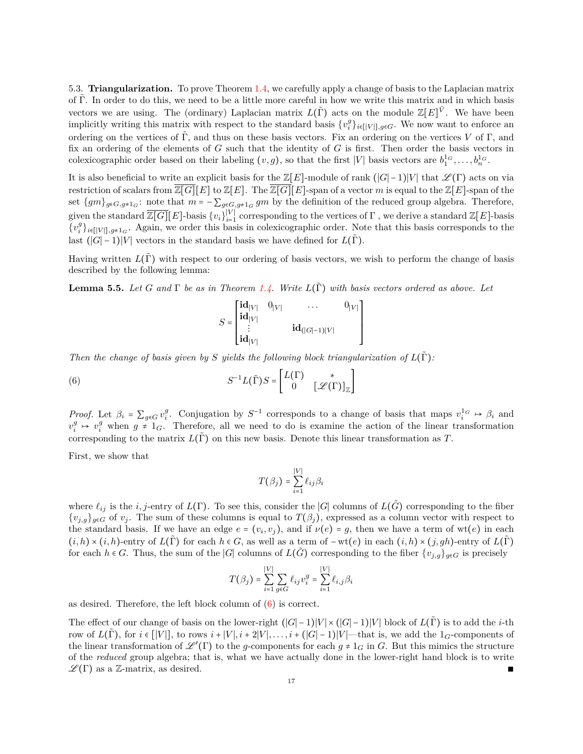5.3. **Triangularization.** To prove Theorem [1.4](#page-1-0), we carefully apply a change of basis to the Laplacian matrix of Γ˜. In order to do this, we need to be a little more careful in how we write this matrix and in which basis vectors we are using. The (ordinary) Laplacian matrix  $L(\tilde{\Gamma})$  acts on the module  $\mathbb{Z}[E]^{\tilde{V}}$ . We have been<br>involvible writing this protoing with gap act to the standard havis (*A*) We now worth to order any implicitly writing this matrix with respect to the standard basis  $\{v_i^g\}_{i \in [|V|]}, g \in G$ . We now want to enforce an ordering on the vertices of  $\Gamma$ , and thus on these basis vectors. Fix an ordering on the vertices  $V$  of  $\Gamma$ , and fix an ordering of the elements of *G* such that the identity of *G* is first. Then order the basis vectors in colexicographic order based on their labeling  $(v, g)$ , so that the first |*V*| basis vectors are  $b_1^{1_G}, \ldots, b_n^{1_G}$ .

It is also beneficial to write an explicit basis for the  $\mathbb{Z}[E]$ -module of rank  $(|G| - 1)|V|$  that  $\mathscr{L}(\Gamma)$  acts on via restriction of scalars from  $\overline{\mathbb{Z}[G]}[E]$  to  $\mathbb{Z}[E]$ . The  $\overline{\mathbb{Z}[G]}[E]$ -span of a vector *m* is equal to the  $\mathbb{Z}[E]$ -span of the set  $\{gm\}_{g \in G, g \neq 1_G}$ : note that  $m = -\sum_{g \in G, g \neq 1_G} gm$  by the definition of the reduced group algebra. Therefore, given the standard  $\overline{\mathbb{Z}[G]}[E]$ -basis  $\{v_i\}_{i=1}^{|V|}$  $\frac{|\mathcal{V}|}{\mathcal{V}|}$  corresponding to the vertices of  $\Gamma$ , we derive a standard  $\mathbb{Z}[E]$ -basis  $\{v_i^g\}_{i\in[[V]],g\neq 1_G}$ . Again, we order this basis in colexicographic order. Note that this basis corresponds to the last  $(|G| - 1)|V|$  vectors in the standard basis we have defined for  $L(T)$ .

Having written *L*(Γ) with respect to our ordering of basis vectors, we wish to perform the change of basis described by the following lemma:

<span id="page-16-1"></span>**Lemma 5.5.** *Let G* and  $\Gamma$  *be as in Theorem* [1.4.](#page-1-0) *Write*  $L(\tilde{\Gamma})$  *with basis vectors ordered as above. Let* 

$$
S = \begin{bmatrix} \mathbf{id}_{|V|} & 0_{|V|} & \cdots & 0_{|V|} \\ \mathbf{id}_{|V|} & & \mathbf{id}_{(|G|-1)|V|} \\ \mathbf{id}_{|V|} & & \end{bmatrix}
$$

*Then the change of basis given by <sup>S</sup> yields the following block triangularization of <sup>L</sup>*(Γ˜)*:*

<span id="page-16-0"></span>(6) 
$$
S^{-1}L(\tilde{\Gamma})S = \begin{bmatrix} L(\Gamma) & * \\ 0 & [\mathscr{L}(\Gamma)]_{\mathbb{Z}} \end{bmatrix}
$$

*Proof.* Let  $\beta_i = \sum_{g \in G} v_i^g$ . Conjugation by  $S^{-1}$  corresponds to a change of basis that maps  $v_i^{1_G} \mapsto \beta_i$  and  $v_i^g \mapsto v_i^g$  when  $g \neq 1_G$ . Therefore, all we need to do is examine the action of the linear transformation corresponding to the matrix  $L(\hat{\Gamma})$  on this new basis. Denote this linear transformation as *T*.

First, we show that

$$
T(\beta_j) = \sum_{i=1}^{|V|} \ell_{ij} \beta_i
$$

where  $\ell_{ij}$  is the *i, j*-entry of  $L(\Gamma)$ . To see this, consider the |*G*| columns of  $L(\tilde{G})$  corresponding to the fiber  ${v_{j,q}}_{q \in G}$  of  $v_j$ . The sum of these columns is equal to  $T(\beta_j)$ , expressed as a column vector with respect to the standard basis. If we have an edge  $e = (v_i, v_j)$ , and if  $\nu(e) = g$ , then we have a term of wt(*e*) in each  $(i, k)$  $(i, h) \times (i, h)$ -entry of  $L(\Gamma)$  for each  $h \in G$ , as well as a term of  $-\text{wt}(e)$  in each  $(i, h) \times (j, gh)$ -entry of  $L(\Gamma)$ for each  $h \in G$ . Thus, the sum of the |*G*| columns of  $L(G)$  corresponding to the fiber  $\{v_{j,g}\}_{g \in G}$  is precisely

$$
T(\beta_j) = \sum_{i=1}^{|V|} \sum_{g \in G} \ell_{ij} v_i^g = \sum_{i=1}^{|V|} \ell_{i,j} \beta_i
$$

as desired. Therefore, the left block column of ([6\)](#page-16-0) is correct.

The effect of our change of basis on the lower-right  $(|G| - 1)|V| \times (|G| - 1)|V|$  block of  $L(\tilde{\Gamma})$  is to add the *i*-th row of  $L(\tilde{\Gamma})$ , for  $i \in [|V|]$ , to rows  $i + |V|$ ,  $i + 2|V|$ , ...,  $i + (|G|-1)|V|$ —that is, we add the 1<sub>*G*</sub>-components of the linear transformation of  $\mathscr{L}'(\Gamma)$  to the *g*-components for each  $g \neq 1_G$  in *G*. But this mimics the structure of the *reduced* group algebra; that is, what we have actually done in the lower-right hand block is to write  $\mathscr{L}(\Gamma)$  as a Z-matrix, as desired.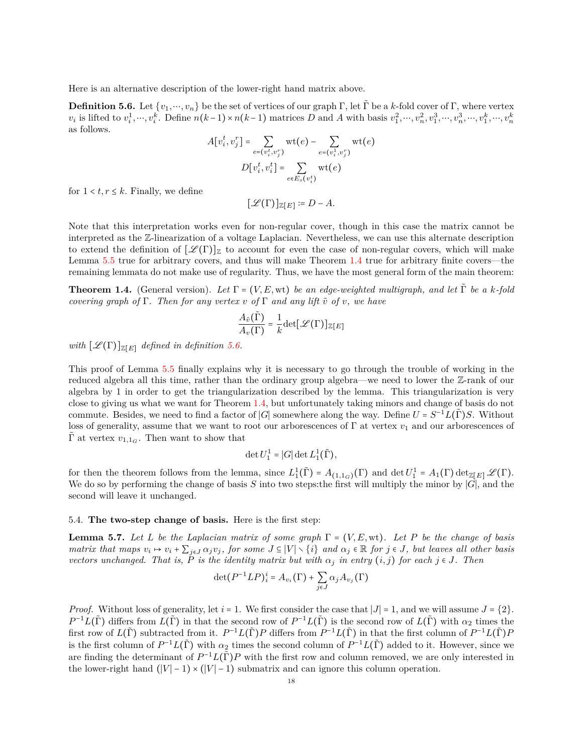Here is an alternative description of the lower-right hand matrix above.

<span id="page-17-0"></span>**Definition 5.6.** Let  $\{v_1, \dots, v_n\}$  be the set of vertices of our graph Γ, let  $\tilde{\Gamma}$  be a *k*-fold cover of Γ, where vertex  $v_i$  is lifted to  $v_i^1, \dots, v_i^k$ . Define  $n(k-1) \times n(k-1)$  matrices D and A with basis  $v_1^2, \dots, v_n^2, v_1^3, \dots, v_n^3, \dots, v_n^k, \dots, v_n^k$ as follows.

$$
A[v_i^t, v_j^r] = \sum_{e=(v_i^t, v_j^r)} \text{wt}(e) - \sum_{e=(v_i^1, v_j^r)} \text{wt}(e)
$$

$$
D[v_i^t, v_i^t] = \sum_{e \in E_s(v_i^t)} \text{wt}(e)
$$

for  $1 < t, r \leq k$ . Finally, we define

$$
[\mathscr{L}(\Gamma)]_{\mathbb{Z}[E]} \coloneqq D - A.
$$

Note that this interpretation works even for non-regular cover, though in this case the matrix cannot be interpreted as the Z-linearization of a voltage Laplacian. Nevertheless, we can use this alternate description to extend the definition of  $[\mathscr{L}(\Gamma)]_{\mathbb{Z}}$  to account for even the case of non-regular covers, which will make Lemma [5.5](#page-16-1) true for arbitrary covers, and thus will make Theorem [1.4](#page-1-0) true for arbitrary finite covers—the remaining lemmata do not make use of regularity. Thus, we have the most general form of the main theorem:

**Theorem 1.4.** (General version). Let  $\Gamma = (V, E, \text{wt})$  be an edge-weighted multigraph, and let  $\tilde{\Gamma}$  be a *k*-fold *covering graph of* Γ. Then for any vertex *v* of Γ and any lift  $\tilde{v}$  of *v*, we have

$$
\frac{A_{\tilde{v}}(\tilde{\Gamma})}{A_{v}(\Gamma)} = \frac{1}{k} \det[\mathcal{L}(\Gamma)]_{\mathbb{Z}[E]}
$$

*with*  $[\mathcal{L}(\Gamma)]_{\mathbb{Z}[E]}$  *defined in definition* [5.6.](#page-17-0)

This proof of Lemma [5.5](#page-16-1) finally explains why it is necessary to go through the trouble of working in the reduced algebra all this time, rather than the ordinary group algebra—we need to lower the Z-rank of our algebra by 1 in order to get the triangularization described by the lemma. This triangularization is very close to giving us what we want for Theorem [1.4](#page-1-0), but unfortunately taking minors and change of basis do not commute. Besides, we need to find a factor of |*G*| somewhere along the way. Define  $U = S^{-1}L(\tilde{\Gamma})S$ . Without loss of generality, assume that we want to root our arborescences of Γ at vertex *v*<sub>1</sub> and our arborescences of Γ at vertex  $v_{1,1_G}$ . Then want to show that

$$
\det U_1^1 = |G| \det L_1^1(\tilde{\Gamma}),
$$

for then the theorem follows from the lemma, since  $L_1^1(\tilde{\Gamma}) = A_{(1,1_G)}(\Gamma)$  and  $\det U_1^1 = A_1(\Gamma) \det_{\mathbb{Z}[E]} \mathscr{L}(\Gamma)$ . We do so by performing the change of basis *<sup>S</sup>* into two steps:the first will multiply the minor by <sup>∣</sup>*G*∣, and the second will leave it unchanged.

# <span id="page-17-1"></span>5.4. **The two-step change of basis.** Here is the first step:

**Lemma 5.7.** *Let <sup>L</sup> be the Laplacian matrix of some graph* <sup>Γ</sup> <sup>=</sup> (*V, E,* wt)*. Let <sup>P</sup> be the change of basis* matrix that maps  $v_i \mapsto v_i + \sum_{j \in J} \alpha_j v_j$ , for some  $J \subseteq |V| \setminus \{i\}$  and  $\alpha_j \in \mathbb{R}$  for  $j \in J$ , but leaves all other basis *vectors unchanged. That is, P is the identity matrix but with*  $\alpha_j$  *in entry*  $(i, j)$  *for each*  $j \in J$ *. Then* 

$$
\det(P^{-1}LP)^i_i = A_{v_i}(\Gamma) + \sum_{j \in J} \alpha_j A_{v_j}(\Gamma)
$$

*Proof.* Without loss of generality, let *i* = 1. We first consider the case that  $|J|$  = 1, and we will assume  $J = \{2\}$ .  $P^{-1}L(\tilde{\Gamma})$  differs from  $L(\tilde{\Gamma})$  in that the second row of  $P^{-1}L(\tilde{\Gamma})$  is the second row of  $L(\tilde{\Gamma})$  with  $\alpha_2$  times the first row of  $L(\tilde{\Gamma})$  subtracted from it.  $P^{-1}L(\tilde{\Gamma})P$  differs from  $P^{-1}L(\tilde{\Gamma})$  in that the first column of  $P^{-1}L(\tilde{\Gamma})P$ is the first column of  $P^{-1}L(\tilde{\Gamma})$  with  $\alpha_2$  times the second column of  $P^{-1}L(\tilde{\Gamma})$  added to it. However, since we are finding the determinant of  $P^{-1}L(\tilde{\Gamma})P$  with the first row and column removed, we are only interested in the lower-right hand  $(|V| - 1) \times (|V| - 1)$  submatrix and can ignore this column operation.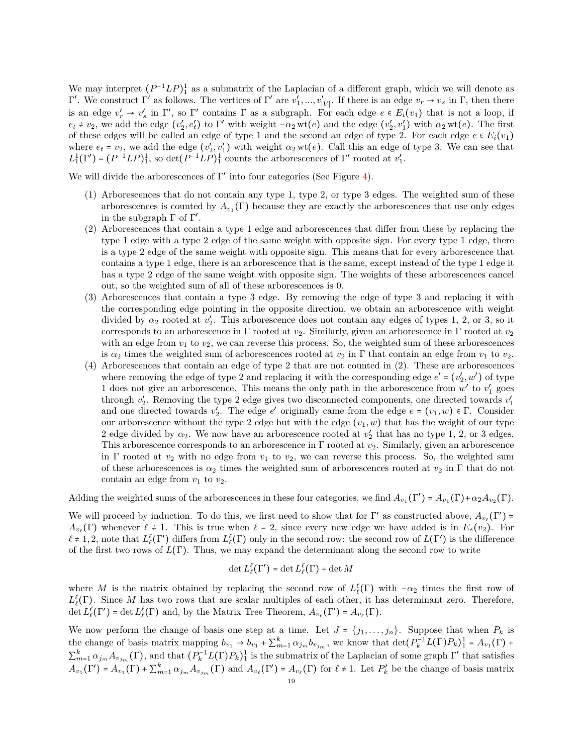We may interpret  $(P^{-1}LP)^1$  as a submatrix of the Laplacian of a different graph, which we will denote as  $F'$ . We construct  $F'$  as follows. The continues of  $F'$  and  $F'$  and  $F'$  and  $F'$  and  $F'$  and  $F'$ Γ'. We construct Γ' as follows. The vertices of Γ' are  $v'_1, ..., v'_{|V|}$ . If there is an edge  $v_r → v_s$  in Γ, then there is an edge  $v'_r \to v'_s$  in  $\Gamma'$ , so  $\Gamma'$  contains  $\Gamma$  as a subgraph. For each edge  $e \in E_i(v_1)$  that is not a loop, if  $e_t \neq v_2$ , we add the edge  $(v'_2, e'_t)$  to Γ' with weight  $-\alpha_2$  wt(*e*) and the edge  $(v'_2, v'_1)$  with  $\alpha_2$  wt(*e*). The first of these edges will be called an edge of type 1 and the second an edge of type 2. For each edge  $e \in E_i(v_1)$ where  $e_t = v_2$ , we add the edge  $(v'_2, v'_1)$  with weight  $\alpha_2$  wt(*e*). Call this an edge of type 3. We can see that  $L_1^1(\Gamma') = (P^{-1}LP)_1^1$ , so det $(P^{-1}LP)_1^1$  counts the arborescences of  $\Gamma'$  rooted at  $v'_1$ .

We will divide the arborescences of  $\Gamma'$  into four categories (See Figure [4\)](#page-20-0).

- (1) Arborescences that do not contain any type 1, type 2, or type 3 edges. The weighted sum of these arborescences is counted by  $A_{v_1}(\Gamma)$  because they are exactly the arborescences that use only edges in the subgraph  $\Gamma$  of  $\Gamma'$ .
- (2) Arborescences that contain a type 1 edge and arborescences that differ from these by replacing the type 1 edge with a type 2 edge of the same weight with opposite sign. For every type 1 edge, there is a type 2 edge of the same weight with opposite sign. This means that for every arborescence that contains a type 1 edge, there is an arborescence that is the same, except instead of the type 1 edge it has a type 2 edge of the same weight with opposite sign. The weights of these arborescences cancel out, so the weighted sum of all of these arborescences is 0.
- (3) Arborescences that contain a type 3 edge. By removing the edge of type 3 and replacing it with the corresponding edge pointing in the opposite direction, we obtain an arborescence with weight divided by  $\alpha_2$  rooted at  $v_2'$ . This arborescence does not contain any edges of types 1, 2, or 3, so it corresponds to an arborescence in Γ rooted at  $v_2$ . Similarly, given an arborescence in Γ rooted at  $v_2$ with an edge from  $v_1$  to  $v_2$ , we can reverse this process. So, the weighted sum of these arborescences is  $\alpha_2$  times the weighted sum of arborescences rooted at  $v_2$  in  $\Gamma$  that contain an edge from  $v_1$  to  $v_2$ .
- (4) Arborescences that contain an edge of type 2 that are not counted in (2). These are arborescences where removing the edge of type 2 and replacing it with the corresponding edge  $e' = (v'_2, w')$  of type 1 does not give an arborescence. This means the only path in the arborescence from  $w'$  to  $v'_1$  goes through  $v_2'$ . Removing the type 2 edge gives two disconnected components, one directed towards  $v_1'$ and one directed towards  $v_2'$ . The edge *e'* originally came from the edge  $e = (v_1, w) \in \Gamma$ . Consider our arborescence without the type 2 edge but with the edge  $(v_1, w)$  that has the weight of our type 2 edge divided by  $\alpha_2$ . We now have an arborescence rooted at  $v'_2$  that has no type 1, 2, or 3 edges. This arborescence corresponds to an arborescence in  $\Gamma$  rooted at  $v_2$ . Similarly, given an arborescence in Γ rooted at  $v_2$  with no edge from  $v_1$  to  $v_2$ , we can reverse this process. So, the weighted sum of these arborescences is  $\alpha_2$  times the weighted sum of arborescences rooted at  $v_2$  in  $\Gamma$  that do not contain an edge from  $v_1$  to  $v_2$ .

Adding the weighted sums of the arborescences in these four categories, we find  $A_{v_1}(\Gamma') = A_{v_1}(\Gamma) + \alpha_2 A_{v_2}(\Gamma)$ .

We will proceed by induction. To do this, we first need to show that for Γ' as constructed above,  $A_{\nu_{\ell}}(\Gamma') =$ <br>  $A_{\nu_{\ell}}(\Gamma)$  whenever  $\ell_{\ell+1}$ . This is two when  $\ell_{\ell+2}$  as since your agency that we added in in  $F_{$  $A_{v_{\ell}}(\Gamma)$  whenever  $\ell \neq 1$ . This is true when  $\ell = 2$ , since every new edge we have added is in  $E_s(v_2)$ . For  $\ell \neq 1, 2$ , note that  $L_{\ell}^{\ell}(\Gamma')$  differs from  $L_{\ell}^{\ell}(\Gamma)$  only in the second row: the second row of  $L(\Gamma')$  is the difference of the first two rows of *<sup>L</sup>*(Γ). Thus, we may expand the determinant along the second row to write

$$
\det L_{\ell}^{\ell}(\Gamma') = \det L_{\ell}^{\ell}(\Gamma) + \det M
$$

where *M* is the matrix obtained by replacing the second row of  $L^{\ell}(\Gamma)$  with  $-\alpha_2$  times the first row of  $L^{\ell}(\Gamma)$ . Since *M* has true were that an evaluated as of scale that it has determinent sure. Therefore  $L^{\ell}(\Gamma)$ . Since *M* has two rows that are scalar multiples of each other, it has determinant zero. Therefore, det  $L^{\ell}_{\ell}(\Gamma') = \det L^{\ell}_{\ell}(\Gamma)$  and, by the Matrix Tree Theorem,  $A_{\nu_{\ell}}(\Gamma') = A_{\nu_{\ell}}(\Gamma)$ .

We now perform the change of basis one step at a time. Let  $J = \{j_1, \ldots, j_n\}$ . Suppose that when  $P_k$  is the change of basis matrix mapping  $b_{v_1} \mapsto b_{v_1} + \sum_{m=1}^k \alpha_{j_m} b_{v_{j_m}}$ , we know that  $\det(P_k^{-1}L(\Gamma)P_k)^1_1 = A_{v_1}(\Gamma) + \sum_{m=1}^k \alpha_{j_m} L(\Gamma)P_k$  $\sum_{m=1}^{k} \alpha_{j_m} A_{v_{j_m}}(\Gamma)$ , and that  $(P_k^{-1} L(\Gamma) P_k) \frac{1}{l}$  is the submatrix of the Laplacian of some graph  $\Gamma'$  that satisfies  $A_{v_1}(\Gamma') = A_{v_1}(\Gamma) + \sum_{m=1}^k \alpha_{j_m} A_{v_{j_m}}(\Gamma)$  and  $A_{v_\ell}(\Gamma') = A_{v_\ell}(\Gamma)$  for  $\ell \neq 1$ . Let  $P'_k$  be the change of basis matrix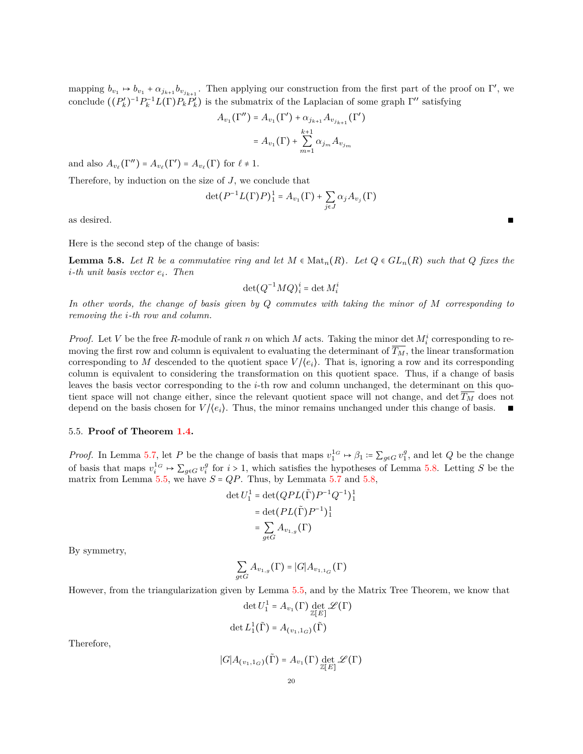mapping  $b_{v_1} \rightarrow b_{v_1} + \alpha_{j_{k+1}} b_{v_{j_{k+1}}}$ . Then applying our construction from the first part of the proof on Γ', we conclude  $((P'_k)^{-1}P_k^{-1}L(\Gamma)P_kP'_k)$  is the submatrix of the Laplacian of some graph  $\Gamma''$  satisfying

$$
A_{v_1}(\Gamma'') = A_{v_1}(\Gamma') + \alpha_{j_{k+1}} A_{v_{j_{k+1}}}(\Gamma')
$$
  
=  $A_{v_1}(\Gamma) + \sum_{m=1}^{k+1} \alpha_{j_m} A_{v_{j_m}}$ 

and also  $A_{v_\ell}(\Gamma'') = A_{v_\ell}(\Gamma') = A_{v_\ell}(\Gamma)$  for  $\ell \neq 1$ .

Therefore, by induction on the size of *J*, we conclude that

$$
\det(P^{-1}L(\Gamma)P)^{1}_{1} = A_{v_1}(\Gamma) + \sum_{j \in J} \alpha_j A_{v_j}(\Gamma)
$$

as desired.  $■$ 

<span id="page-19-0"></span>Here is the second step of the change of basis:

**Lemma 5.8.** Let R be a commutative ring and let  $M \in \text{Mat}_n(R)$ . Let  $Q \in GL_n(R)$  such that  $Q$  fixes the *i-th unit basis vector ei. Then*

$$
\det(Q^{-1}MQ)^i_i = \det M^i_i
$$

*In other words, the change of basis given by Q commutes with taking the minor of M corresponding to removing the i-th row and column.*

*Proof.* Let *V* be the free *R*-module of rank *n* on which *M* acts. Taking the minor det  $M_i^i$  corresponding to removing the first row and column is equivalent to evaluating the determinant of  $\overline{T_M}$ , the linear transformation corresponding to *M* descended to the quotient space  $V/(e_i)$ . That is, ignoring a row and its corresponding column is equivalent to considering the transformation on this quotient space. Thus, if a change of basis leaves the basis vector corresponding to the *i*-th row and column unchanged, the determinant on this quotient space will not change either, since the relevant quotient space will not change, and det *T<sup>M</sup>* does not depend on the basis chosen for  $V/(e_i)$ . Thus, the minor remains unchanged under this change of basis. ■

### 5.5. **Proof of Theorem [1.4](#page-1-0).**

*Proof.* In Lemma [5.7](#page-17-1), let *P* be the change of basis that maps  $v_1^{1_G} \mapsto \beta_1 := \sum_{g \in G} v_1^g$ , and let *Q* be the change of basis that maps  $v_i^{1_G} \mapsto \sum_{g \in G} v_i^g$  for  $i > 1$ , which satisfies the hypotheses of Lemma [5.8.](#page-19-0) Letting *S* be the matrix from Lemma  $5.5$ , we have  $S = QP$ . Thus, by Lemmata  $5.7$  and  $5.8$ ,

$$
\det U_1^1 = \det(QPL(\tilde{\Gamma})P^{-1}Q^{-1})_1^1
$$
  
= 
$$
\det(PL(\tilde{\Gamma})P^{-1})_1^1
$$
  
= 
$$
\sum_{g \in G} A_{v_{1,g}}(\Gamma)
$$

By symmetry,

$$
\sum_{g\in G}A_{v_{1,g}}\big(\Gamma\big)=\big|G\big|A_{v_{1,1_G}}\big(\Gamma\big)
$$

However, from the triangularization given by Lemma [5.5,](#page-16-1) and by the Matrix Tree Theorem, we know that

$$
\det U_1^1 = A_{v_1}(\Gamma) \det_{\mathbb{Z}[E]} \mathcal{L}(\Gamma)
$$

$$
\det L_1^1(\tilde{\Gamma}) = A_{(v_1, 1_G)}(\tilde{\Gamma})
$$

Therefore,

$$
|G|A_{(v_1,1_G)}(\tilde{\Gamma})=A_{v_1}(\Gamma)\det_{\mathbb{Z}[E]}\mathscr{L}(\Gamma)
$$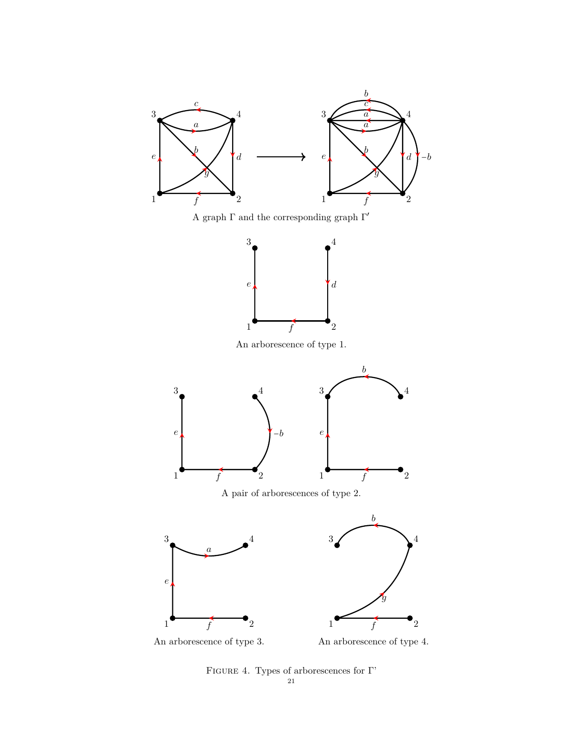

An arborescence of type 3.



<span id="page-20-0"></span>Figure 4. Types of arborescences for Γ' 21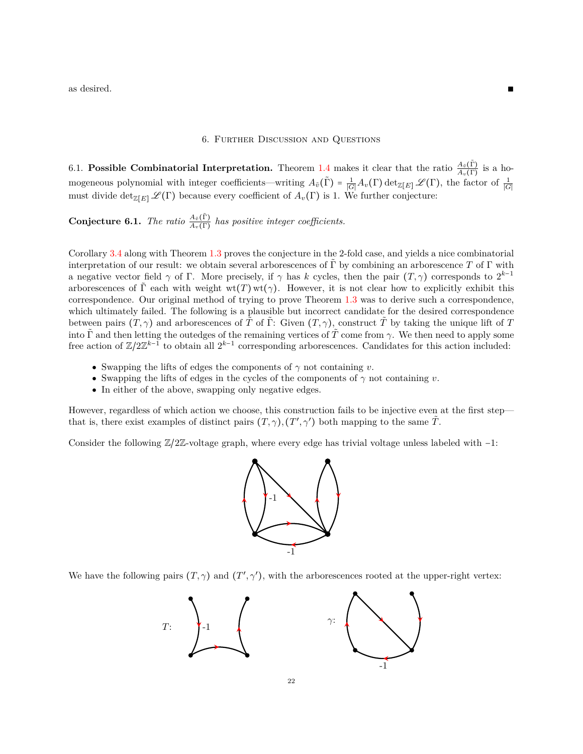$\blacksquare$  as desired.  $\blacksquare$ 

## 6. Further Discussion and Questions

6.1. **Possible Combinatorial Interpretation.** Theorem [1.4](#page-1-0) makes it clear that the ratio  $\frac{A_{\tilde{v}}(\tilde{\Gamma})}{A_{v}(\Gamma)}$  is a homogeneous polynomial with integer coefficients—writing  $A_{\tilde{v}}(\tilde{\Gamma}) = \frac{1}{|G|} A_v(\Gamma) \det_{\mathbb{Z}[E]} \mathscr{L}(\Gamma)$ , the factor of  $\frac{1}{|G|}$ must divide  $\det_{\mathbb{Z}[E]} \mathcal{L}(\Gamma)$  because every coefficient of  $A_v(\Gamma)$  is 1. We further conjecture:

<span id="page-21-0"></span>**Conjecture 6.1.** *The ratio*  $\frac{A_{\tilde{v}}(\tilde{\Gamma})}{A_{v}(\Gamma)}$  *has positive integer coefficients.* 

Corollary [3.4](#page-6-3) along with Theorem [1.3](#page-1-2) proves the conjecture in the 2-fold case, and yields a nice combinatorial interpretation of our result: we obtain several arborescences of  $\Gamma$  by combining an arborescence  $T$  of  $\Gamma$  with a negative vector field  $\gamma$  of Γ. More precisely, if  $\gamma$  has *k* cycles, then the pair  $(T, \gamma)$  corresponds to  $2^{k-1}$ arborescences of  $\tilde{\Gamma}$  each with weight wt(*T*) wt( $\gamma$ ). However, it is not clear how to explicitly exhibit this correspondence. Our original method of trying to prove Theorem [1.3](#page-1-2) was to derive such a correspondence, which ultimately failed. The following is a plausible but incorrect candidate for the desired correspondence between pairs  $(T, \gamma)$  and arborescences of  $\tilde{T}$  of  $\tilde{\Gamma}$ : Given  $(T, \gamma)$ , construct  $\tilde{T}$  by taking the unique lift of  $T$ into  $\tilde{\Gamma}$  and then letting the outedges of the remaining vertices of  $\tilde{T}$  come from  $\gamma$ . We then need to apply some free action of  $\mathbb{Z}/2\mathbb{Z}^{k-1}$  to obtain all  $2^{k-1}$  corresponding arborescences. Candidates for this action included:

- Swapping the lifts of edges the components of  $\gamma$  not containing *v*.
- Swapping the lifts of edges in the cycles of the components of  $\gamma$  not containing *v*.
- In either of the above, swapping only negative edges.

However, regardless of which action we choose, this construction fails to be injective even at the first step that is, there exist examples of distinct pairs  $(T, \gamma)$ *,*  $(T', \gamma')$  both mapping to the same  $\tilde{T}$ *.* 

Consider the following <sup>Z</sup>/2Z-voltage graph, where every edge has trivial voltage unless labeled with <sup>−</sup>1:



We have the following pairs  $(T, \gamma)$  and  $(T', \gamma')$ , with the arborescences rooted at the upper-right vertex:

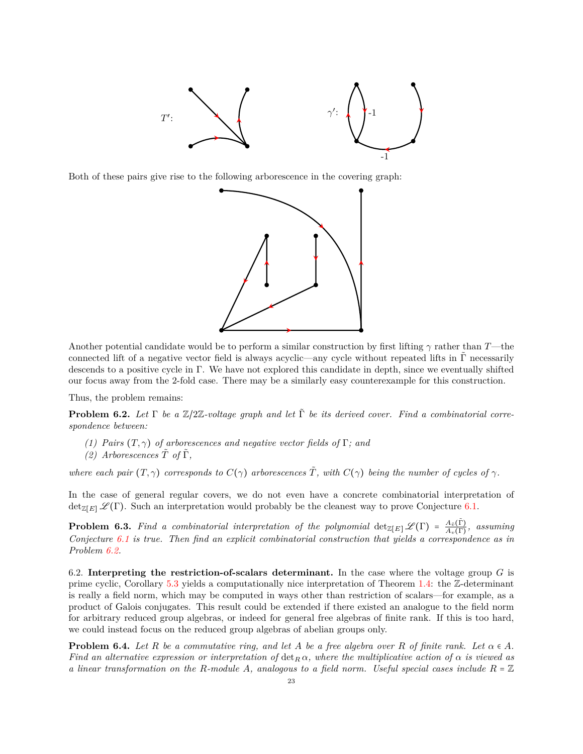

Both of these pairs give rise to the following arborescence in the covering graph:



Another potential candidate would be to perform a similar construction by first lifting *γ* rather than *T*—the connected lift of a negative vector field is always acyclic—any cycle without repeated lifts in Γ necessarily descends to a positive cycle in Γ. We have not explored this candidate in depth, since we eventually shifted our focus away from the 2-fold case. There may be a similarly easy counterexample for this construction.

Thus, the problem remains:

<span id="page-22-0"></span>**Problem 6.2.** *Let* <sup>Γ</sup> *be a* <sup>Z</sup>/2Z*-voltage graph and let* Γ˜ *be its derived cover. Find a combinatorial correspondence between:*

- *(1) Pairs* (*T, γ*) *of arborescences and negative vector fields of* <sup>Γ</sup>*; and*
- *(2) Arborescences*  $\tilde{T}$  *of*  $\tilde{\Gamma}$ *,*

*where each pair*  $(T, \gamma)$  *corresponds to*  $C(\gamma)$  *arborescences*  $\tilde{T}$ *, with*  $C(\gamma)$  *being the number of cycles of*  $\gamma$ *.* 

In the case of general regular covers, we do not even have a concrete combinatorial interpretation of  $\det_{\mathbb{Z}[E]} \mathscr{L}(\Gamma)$ . Such an interpretation would probably be the cleanest way to prove Conjecture [6.1.](#page-21-0)

**Problem 6.3.** *Find a combinatorial interpretation of the polynomial*  $\det_{\mathbb{Z}[E]} \mathscr{L}(\Gamma) = \frac{A_{\tilde{v}}(\tilde{\Gamma})}{A_{v}(\Gamma)}$  $\frac{A_{\tilde{v}}(\Gamma)}{A_{v}(\Gamma)}$ *, assuming Conjecture [6.1](#page-21-0) is true. Then find an explicit combinatorial construction that yields a correspondence as in Problem [6.2](#page-22-0).*

6.2. **Interpreting the restriction-of-scalars determinant.** In the case where the voltage group *G* is prime cyclic, Corollary [5.3](#page-15-0) yields a computationally nice interpretation of Theorem [1.4](#page-1-0): the Z-determinant is really a field norm, which may be computed in ways other than restriction of scalars—for example, as a product of Galois conjugates. This result could be extended if there existed an analogue to the field norm for arbitrary reduced group algebras, or indeed for general free algebras of finite rank. If this is too hard, we could instead focus on the reduced group algebras of abelian groups only.

**Problem 6.4.** *Let*  $R$  *be a commutative ring, and let*  $A$  *be a free algebra over*  $R$  *of finite rank. Let*  $\alpha \in A$ *. Find an alternative expression or interpretation of*  $\det_R \alpha$ , where the multiplicative action of  $\alpha$  is viewed as *a linear transformation on the R-module A, analogous to a field norm. Useful special cases include*  $R = \mathbb{Z}$